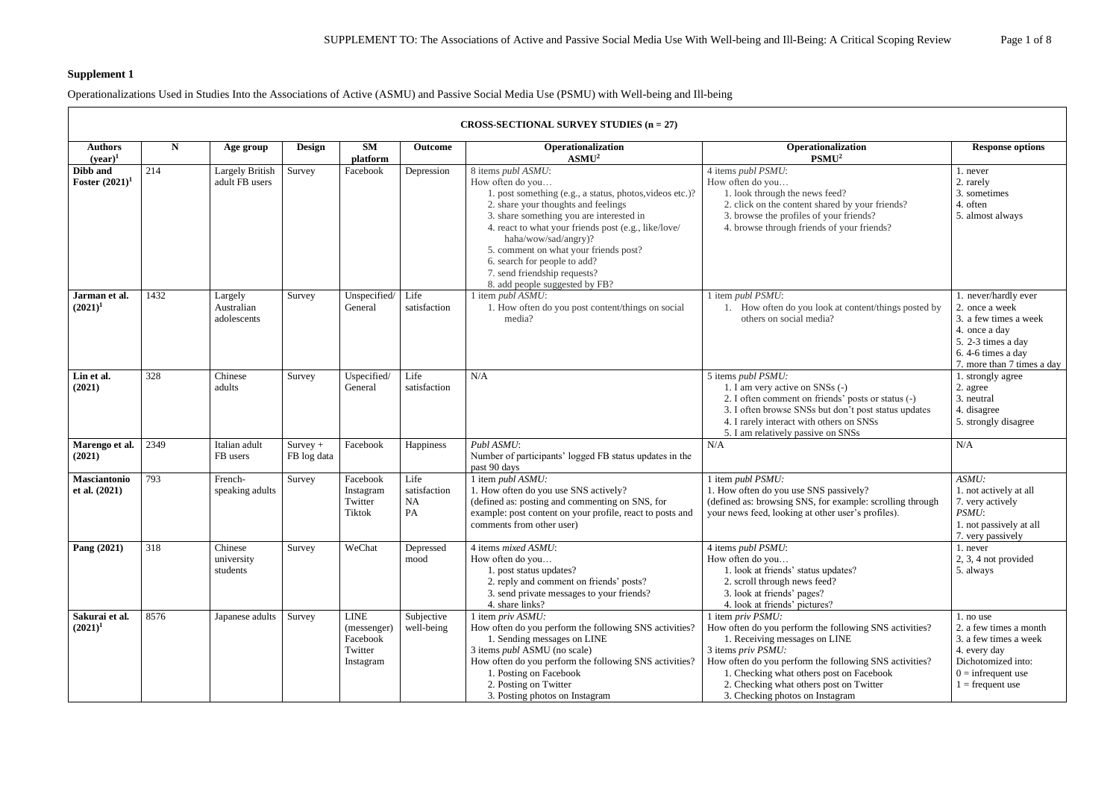# **Supplement 1**

 $\Gamma$ 

Operationalizations Used in Studies Into the Associations of Active (ASMU) and Passive Social Media Use (PSMU) with Well-being and Ill-being

|                                      | CROSS-SECTIONAL SURVEY STUDIES $(n = 27)$ |                                          |                           |                                                                |                                         |                                                                                                                                                                                                                                                                                                                                                                                                                  |                                                                                                                                                                                                                                                                                                                        |                                                                                                                                                           |  |  |  |  |
|--------------------------------------|-------------------------------------------|------------------------------------------|---------------------------|----------------------------------------------------------------|-----------------------------------------|------------------------------------------------------------------------------------------------------------------------------------------------------------------------------------------------------------------------------------------------------------------------------------------------------------------------------------------------------------------------------------------------------------------|------------------------------------------------------------------------------------------------------------------------------------------------------------------------------------------------------------------------------------------------------------------------------------------------------------------------|-----------------------------------------------------------------------------------------------------------------------------------------------------------|--|--|--|--|
| <b>Authors</b><br>$(year)^1$         | N                                         | Age group                                | Design                    | <b>SM</b><br>platform                                          | Outcome                                 | Operationalization<br>ASMU <sup>2</sup>                                                                                                                                                                                                                                                                                                                                                                          | Operationalization<br>PSMU <sup>2</sup>                                                                                                                                                                                                                                                                                | <b>Response options</b>                                                                                                                                   |  |  |  |  |
| Dibb and<br><b>Foster</b> $(2021)^1$ | 214                                       | <b>Largely British</b><br>adult FB users | Survey                    | Facebook                                                       | Depression                              | 8 items publ ASMU:<br>How often do you<br>1. post something (e.g., a status, photos, videos etc.)?<br>2. share your thoughts and feelings<br>3. share something you are interested in<br>4. react to what your friends post (e.g., like/love/<br>haha/wow/sad/angry)?<br>5. comment on what your friends post?<br>6. search for people to add?<br>7. send friendship requests?<br>8. add people suggested by FB? | 4 items publ PSMU:<br>How often do you<br>1. look through the news feed?<br>2. click on the content shared by your friends?<br>3. browse the profiles of your friends?<br>4. browse through friends of your friends?                                                                                                   | 1. never<br>2. rarely<br>3. sometimes<br>4. often<br>5. almost always                                                                                     |  |  |  |  |
| Jarman et al.<br>$(2021)^1$          | 1432                                      | Largely<br>Australian<br>adolescents     | Survey                    | Unspecified $\vert$ Life<br>General                            | satisfaction                            | 1 item publ $ASMU$ :<br>1. How often do you post content/things on social<br>media?                                                                                                                                                                                                                                                                                                                              | 1 item publ PSMU:<br>1. How often do you look at content/things posted by<br>others on social media?                                                                                                                                                                                                                   | 1. never/hardly ever<br>2. once a week<br>3. a few times a week<br>4. once a day<br>5. 2-3 times a day<br>6.4-6 times a day<br>7. more than 7 times a day |  |  |  |  |
| Lin et al.<br>(2021)                 | 328                                       | Chinese<br>adults                        | Survey                    | Uspecified/<br>General                                         | Life<br>satisfaction                    | N/A                                                                                                                                                                                                                                                                                                                                                                                                              | 5 items publ PSMU:<br>1. I am very active on SNSs (-)<br>2. I often comment on friends' posts or status (-)<br>3. I often browse SNSs but don't post status updates<br>4. I rarely interact with others on SNSs<br>5. I am relatively passive on SNSs                                                                  | 1. strongly agree<br>2. agree<br>3. neutral<br>4. disagree<br>5. strongly disagree                                                                        |  |  |  |  |
| Marengo et al.<br>(2021)             | 2349                                      | Italian adult<br>FB users                | $Survey +$<br>FB log data | Facebook                                                       | Happiness                               | Publ ASMU:<br>Number of participants' logged FB status updates in the<br>past 90 days                                                                                                                                                                                                                                                                                                                            | N/A                                                                                                                                                                                                                                                                                                                    | N/A                                                                                                                                                       |  |  |  |  |
| Masciantonio<br>et al. $(2021)$      | 793                                       | French-<br>speaking adults               | Survey                    | Facebook<br>Instagram<br>Twitter<br><b>Tiktok</b>              | Life<br>satisfaction<br><b>NA</b><br>PA | 1 item publ ASMU:<br>1. How often do you use SNS actively?<br>(defined as: posting and commenting on SNS, for<br>example: post content on your profile, react to posts and<br>comments from other user)                                                                                                                                                                                                          | 1 item publ PSMU:<br>1. How often do you use SNS passively?<br>(defined as: browsing SNS, for example: scrolling through<br>your news feed, looking at other user's profiles).                                                                                                                                         | ASMU:<br>1. not actively at all<br>7. very actively<br>PSMU:<br>1. not passively at all<br>7. very passively                                              |  |  |  |  |
| Pang (2021)                          | 318                                       | Chinese<br>university<br>students        | Survey                    | WeChat                                                         | Depressed<br>mood                       | 4 items mixed ASMU:<br>How often do you<br>1. post status updates?<br>2. reply and comment on friends' posts?<br>3. send private messages to your friends?<br>4. share links?                                                                                                                                                                                                                                    | 4 items publ PSMU:<br>How often do you<br>1. look at friends' status updates?<br>2. scroll through news feed?<br>3. look at friends' pages?<br>4. look at friends' pictures?                                                                                                                                           | 1. never<br>2, 3, 4 not provided<br>5. always                                                                                                             |  |  |  |  |
| Sakurai et al.<br>$(2021)^1$         | 8576                                      | Japanese adults                          | Survey                    | <b>LINE</b><br>(messenger)<br>Facebook<br>Twitter<br>Instagram | Subjective<br>well-being                | 1 item priv ASMU:<br>How often do you perform the following SNS activities?<br>1. Sending messages on LINE<br>3 items <i>publ</i> ASMU (no scale)<br>How often do you perform the following SNS activities?<br>1. Posting on Facebook<br>2. Posting on Twitter<br>3. Posting photos on Instagram                                                                                                                 | 1 item priv PSMU:<br>How often do you perform the following SNS activities?<br>1. Receiving messages on LINE<br>3 items priv PSMU:<br>How often do you perform the following SNS activities?<br>1. Checking what others post on Facebook<br>2. Checking what others post on Twitter<br>3. Checking photos on Instagram | 1. no use<br>2. a few times a month<br>3. a few times a week<br>4. every day<br>Dichotomized into:<br>$0 =$ infrequent use<br>$1 = \text{frequent use}$   |  |  |  |  |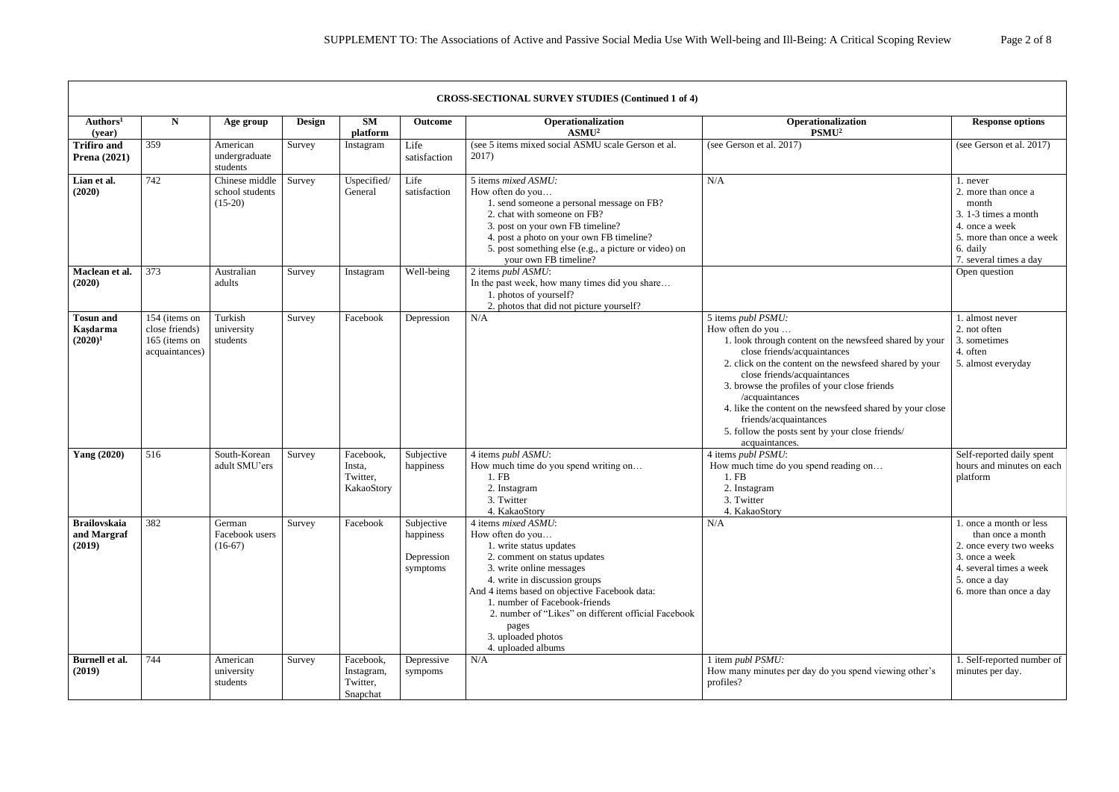|                                              | <b>CROSS-SECTIONAL SURVEY STUDIES (Continued 1 of 4)</b>           |                                                |        |                                                 |                                                   |                                                                                                                                                                                                                                                                                                                                                               |                                                                                                                                                                                                                                                                                                                                                                                                                                                              |                                                                                                                                                                  |  |  |
|----------------------------------------------|--------------------------------------------------------------------|------------------------------------------------|--------|-------------------------------------------------|---------------------------------------------------|---------------------------------------------------------------------------------------------------------------------------------------------------------------------------------------------------------------------------------------------------------------------------------------------------------------------------------------------------------------|--------------------------------------------------------------------------------------------------------------------------------------------------------------------------------------------------------------------------------------------------------------------------------------------------------------------------------------------------------------------------------------------------------------------------------------------------------------|------------------------------------------------------------------------------------------------------------------------------------------------------------------|--|--|
| Authors <sup>1</sup><br>(year)               | N                                                                  | Age group                                      | Design | <b>SM</b><br>platform                           | Outcome                                           | Operationalization<br>ASMU <sup>2</sup>                                                                                                                                                                                                                                                                                                                       | Operationalization<br>PSMU <sup>2</sup>                                                                                                                                                                                                                                                                                                                                                                                                                      | <b>Response options</b>                                                                                                                                          |  |  |
| <b>Trifiro and</b><br><b>Prena</b> (2021)    | 359                                                                | American<br>undergraduate<br>students          | Survey | Instagram                                       | Life<br>satisfaction                              | (see 5 items mixed social ASMU scale Gerson et al.<br>2017)                                                                                                                                                                                                                                                                                                   | (see Gerson et al. 2017)                                                                                                                                                                                                                                                                                                                                                                                                                                     | (see Gerson et al. 2017)                                                                                                                                         |  |  |
| Lian et al.<br>(2020)                        | 742                                                                | Chinese middle<br>school students<br>$(15-20)$ | Survey | Uspecified/<br>General                          | Life<br>satisfaction                              | 5 items mixed ASMU:<br>How often do you<br>1. send someone a personal message on FB?<br>2. chat with someone on FB?<br>3. post on your own FB timeline?<br>4. post a photo on your own FB timeline?<br>5. post something else (e.g., a picture or video) on<br>your own FB timeline?                                                                          | N/A                                                                                                                                                                                                                                                                                                                                                                                                                                                          | 1. never<br>2. more than once a<br>month<br>3. 1-3 times a month<br>4. once a week<br>5. more than once a week<br>6. daily<br>7. several times a day             |  |  |
| Maclean et al.<br>(2020)                     | 373                                                                | Australian<br>adults                           | Survey | Instagram                                       | Well-being                                        | 2 items publ ASMU:<br>In the past week, how many times did you share<br>1. photos of yourself?<br>2. photos that did not picture yourself?                                                                                                                                                                                                                    |                                                                                                                                                                                                                                                                                                                                                                                                                                                              | Open question                                                                                                                                                    |  |  |
| <b>Tosun and</b><br>Kaşdarma<br>$(2020)^1$   | 154 (items on<br>close friends)<br>165 (items on<br>acquaintances) | Turkish<br>university<br>students              | Survey | Facebook                                        | Depression                                        | N/A                                                                                                                                                                                                                                                                                                                                                           | 5 items <i>publ PSMU</i> :<br>How often do you<br>1. look through content on the newsfeed shared by your<br>close friends/acquaintances<br>2. click on the content on the newsfeed shared by your<br>close friends/acquaintances<br>3. browse the profiles of your close friends<br>/acquaintances<br>4. like the content on the newsfeed shared by your close<br>friends/acquaintances<br>5. follow the posts sent by your close friends/<br>acquaintances. | 1. almost never<br>2. not often<br>3. sometimes<br>4. often<br>5. almost everyday                                                                                |  |  |
| <b>Yang (2020)</b>                           | 516                                                                | South-Korean<br>adult SMU'ers                  | Survey | Facebook,<br>Insta,<br>Twitter,<br>KakaoStory   | Subjective<br>happiness                           | 4 items publ ASMU:<br>How much time do you spend writing on<br>1.FB<br>2. Instagram<br>3. Twitter<br>4. KakaoStory                                                                                                                                                                                                                                            | 4 items publ PSMU:<br>How much time do you spend reading on<br>1. FB<br>2. Instagram<br>3. Twitter<br>4. KakaoStory                                                                                                                                                                                                                                                                                                                                          | Self-reported daily spent<br>hours and minutes on each<br>platform                                                                                               |  |  |
| <b>Brailovskaia</b><br>and Margraf<br>(2019) | 382                                                                | German<br>Facebook users<br>$(16-67)$          | Survey | Facebook                                        | Subjective<br>happiness<br>Depression<br>symptoms | 4 items mixed ASMU:<br>How often do you<br>1. write status updates<br>2. comment on status updates<br>3. write online messages<br>4. write in discussion groups<br>And 4 items based on objective Facebook data:<br>1. number of Facebook-friends<br>2. number of "Likes" on different official Facebook<br>pages<br>3. uploaded photos<br>4. uploaded albums | N/A                                                                                                                                                                                                                                                                                                                                                                                                                                                          | 1. once a month or less<br>than once a month<br>2. once every two weeks<br>3. once a week<br>4. several times a week<br>5. once a day<br>6. more than once a day |  |  |
| Burnell et al.<br>(2019)                     | 744                                                                | American<br>university<br>students             | Survey | Facebook,<br>Instagram,<br>Twitter,<br>Snapchat | Depressive<br>sympoms                             | N/A                                                                                                                                                                                                                                                                                                                                                           | 1 item publ PSMU:<br>How many minutes per day do you spend viewing other's<br>profiles?                                                                                                                                                                                                                                                                                                                                                                      | 1. Self-reported number of<br>minutes per day.                                                                                                                   |  |  |

 $\overline{1}$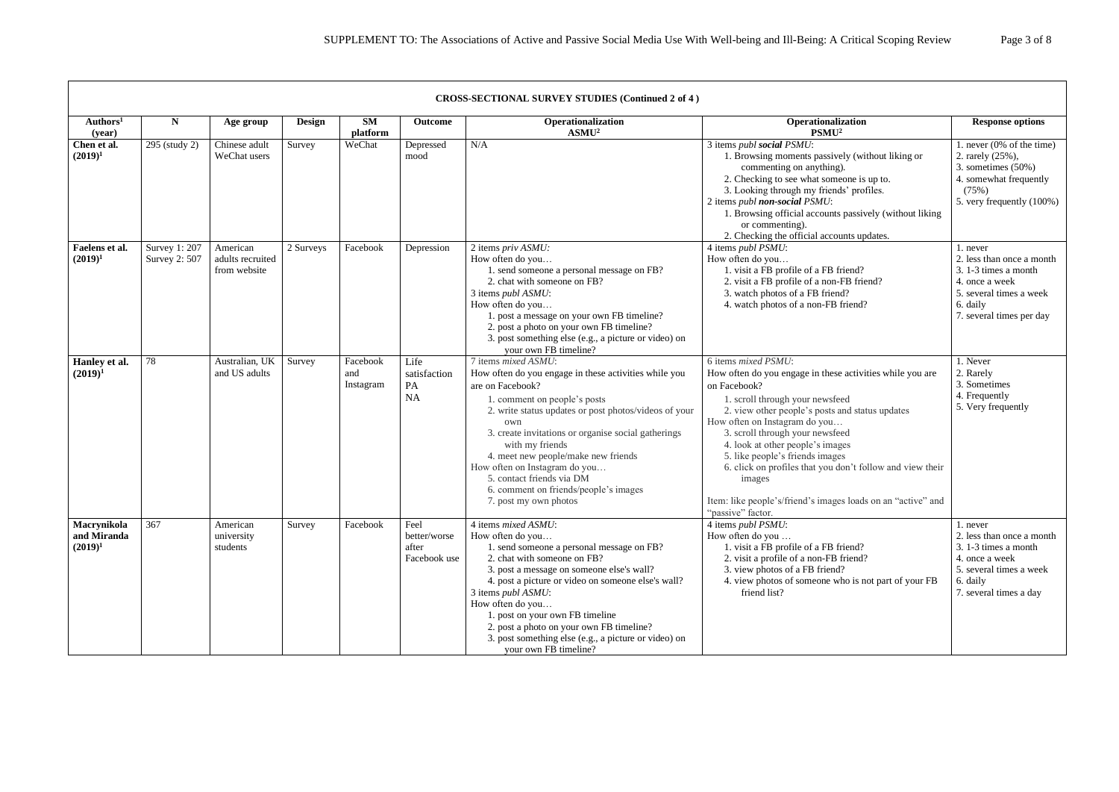|                                          | <b>CROSS-SECTIONAL SURVEY STUDIES (Continued 2 of 4)</b> |                                              |               |                              |                                               |                                                                                                                                                                                                                                                                                                                                                                                                                                                   |                                                                                                                                                                                                                                                                                                                                                                                                                                                                                               |                                                                                                                                                    |  |  |  |
|------------------------------------------|----------------------------------------------------------|----------------------------------------------|---------------|------------------------------|-----------------------------------------------|---------------------------------------------------------------------------------------------------------------------------------------------------------------------------------------------------------------------------------------------------------------------------------------------------------------------------------------------------------------------------------------------------------------------------------------------------|-----------------------------------------------------------------------------------------------------------------------------------------------------------------------------------------------------------------------------------------------------------------------------------------------------------------------------------------------------------------------------------------------------------------------------------------------------------------------------------------------|----------------------------------------------------------------------------------------------------------------------------------------------------|--|--|--|
| Authors <sup>1</sup><br>(year)           | N                                                        | Age group                                    | <b>Design</b> | <b>SM</b><br>platform        | Outcome                                       | Operationalization<br>ASMU <sup>2</sup>                                                                                                                                                                                                                                                                                                                                                                                                           | Operationalization<br>PSMU <sup>2</sup>                                                                                                                                                                                                                                                                                                                                                                                                                                                       | <b>Response options</b>                                                                                                                            |  |  |  |
| Chen et al.<br>$(2019)^1$                | 295 (study 2)                                            | Chinese adult<br>WeChat users                | Survey        | WeChat                       | Depressed<br>mood                             | N/A                                                                                                                                                                                                                                                                                                                                                                                                                                               | 3 items publ social PSMU:<br>1. Browsing moments passively (without liking or<br>commenting on anything).<br>2. Checking to see what someone is up to.<br>3. Looking through my friends' profiles.<br>2 items publ non-social PSMU:<br>1. Browsing official accounts passively (without liking<br>or commenting).<br>2. Checking the official accounts updates.                                                                                                                               | 1. never $(0\% \text{ of the time})$<br>2. rarely (25%),<br>3. sometimes $(50\%)$<br>4. somewhat frequently<br>(75%)<br>5. very frequently (100%)  |  |  |  |
| Faelens et al.<br>$(2019)^1$             | Survey 1: 207<br>Survey 2: 507                           | American<br>adults recruited<br>from website | 2 Surveys     | Facebook                     | Depression                                    | 2 items priv ASMU:<br>How often do you<br>1. send someone a personal message on FB?<br>2. chat with someone on FB?<br>3 items publ ASMU:<br>How often do you<br>1. post a message on your own FB timeline?<br>2. post a photo on your own FB timeline?<br>3. post something else (e.g., a picture or video) on<br>your own FB timeline?                                                                                                           | 4 items publ PSMU:<br>How often do you<br>1. visit a FB profile of a FB friend?<br>2. visit a FB profile of a non-FB friend?<br>3. watch photos of a FB friend?<br>4. watch photos of a non-FB friend?                                                                                                                                                                                                                                                                                        | 1. never<br>2. less than once a month<br>3. 1-3 times a month<br>4. once a week<br>5. several times a week<br>6. daily<br>7. several times per day |  |  |  |
| Hanley et al.<br>$(2019)^1$              | 78                                                       | Australian, UK<br>and US adults              | Survey        | Facebook<br>and<br>Instagram | Life<br>satisfaction<br>PA<br><b>NA</b>       | 7 items mixed ASMU:<br>How often do you engage in these activities while you<br>are on Facebook?<br>1. comment on people's posts<br>2. write status updates or post photos/videos of your<br>own<br>3. create invitations or organise social gatherings<br>with my friends<br>4. meet new people/make new friends<br>How often on Instagram do you<br>5. contact friends via DM<br>6. comment on friends/people's images<br>7. post my own photos | 6 items mixed PSMU:<br>How often do you engage in these activities while you are<br>on Facebook?<br>1. scroll through your newsfeed<br>2. view other people's posts and status updates<br>How often on Instagram do you<br>3. scroll through your newsfeed<br>4. look at other people's images<br>5. like people's friends images<br>6. click on profiles that you don't follow and view their<br>images<br>Item: like people's/friend's images loads on an "active" and<br>"passive" factor. | 1. Never<br>2. Rarely<br>3. Sometimes<br>4. Frequently<br>5. Very frequently                                                                       |  |  |  |
| Macrynikola<br>and Miranda<br>$(2019)^1$ | 367                                                      | American<br>university<br>students           | Survey        | Facebook                     | Feel<br>better/worse<br>after<br>Facebook use | 4 items mixed ASMU:<br>How often do you<br>1. send someone a personal message on FB?<br>2. chat with someone on FB?<br>3. post a message on someone else's wall?<br>4. post a picture or video on someone else's wall?<br>3 items publ ASMU:<br>How often do you<br>1. post on your own FB timeline<br>2. post a photo on your own FB timeline?<br>3. post something else (e.g., a picture or video) on<br>your own FB timeline?                  | 4 items publ PSMU:<br>How often do you<br>1. visit a FB profile of a FB friend?<br>2. visit a profile of a non-FB friend?<br>3. view photos of a FB friend?<br>4. view photos of someone who is not part of your FB<br>friend list?                                                                                                                                                                                                                                                           | 1. never<br>2. less than once a month<br>3. 1-3 times a month<br>4. once a week<br>5. several times a week<br>6. daily<br>7. several times a day   |  |  |  |

Г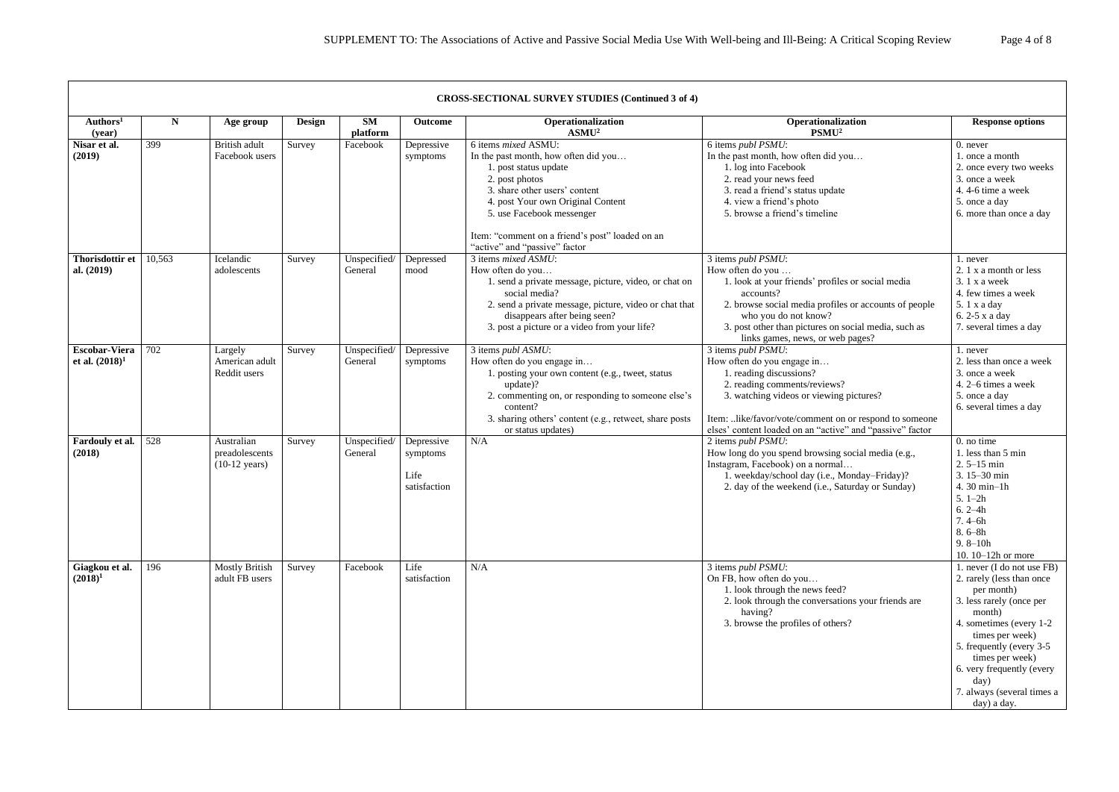|                                           |        |                                                         |        |                         |                                                | <b>CROSS-SECTIONAL SURVEY STUDIES (Continued 3 of 4)</b>                                                                                                                                                                                                                                      |                                                                                                                                                                                                                                                                                       |                                                                                                                                                                                                                                                                                              |
|-------------------------------------------|--------|---------------------------------------------------------|--------|-------------------------|------------------------------------------------|-----------------------------------------------------------------------------------------------------------------------------------------------------------------------------------------------------------------------------------------------------------------------------------------------|---------------------------------------------------------------------------------------------------------------------------------------------------------------------------------------------------------------------------------------------------------------------------------------|----------------------------------------------------------------------------------------------------------------------------------------------------------------------------------------------------------------------------------------------------------------------------------------------|
| Authors <sup>1</sup><br>(year)            | N      | Age group                                               | Design | <b>SM</b><br>platform   | <b>Outcome</b>                                 | Operationalization<br>ASMU <sup>2</sup>                                                                                                                                                                                                                                                       | Operationalization<br>PSMU <sup>2</sup>                                                                                                                                                                                                                                               | <b>Response options</b>                                                                                                                                                                                                                                                                      |
| Nisar et al.<br>(2019)                    | 399    | British adult<br>Facebook users                         | Survey | Facebook                | Depressive<br>symptoms                         | 6 items mixed ASMU:<br>In the past month, how often did you<br>1. post status update<br>2. post photos<br>3. share other users' content<br>4. post Your own Original Content<br>5. use Facebook messenger<br>Item: "comment on a friend's post" loaded on an<br>"active" and "passive" factor | 6 items publ PSMU:<br>In the past month, how often did you<br>1. log into Facebook<br>2. read your news feed<br>3. read a friend's status update<br>4. view a friend's photo<br>5. browse a friend's timeline                                                                         | 0. never<br>1. once a month<br>2. once every two weeks<br>3. once a week<br>4.4-6 time a week<br>5. once a day<br>6. more than once a day                                                                                                                                                    |
| <b>Thorisdottir et</b><br>al. (2019)      | 10,563 | Icelandic<br>adolescents                                | Survey | Unspecified/<br>General | Depressed<br>mood                              | 3 items mixed ASMU:<br>How often do you<br>1. send a private message, picture, video, or chat on<br>social media?<br>2. send a private message, picture, video or chat that<br>disappears after being seen?<br>3. post a picture or a video from your life?                                   | 3 items publ PSMU:<br>How often do you<br>1. look at your friends' profiles or social media<br>accounts?<br>2. browse social media profiles or accounts of people<br>who you do not know?<br>3. post other than pictures on social media, such as<br>links games, news, or web pages? | 1. never<br>2. 1 x a month or less<br>$3.1x$ a week<br>4. few times a week<br>5.1 x a day<br>6. 2-5 x a day<br>7. several times a day                                                                                                                                                        |
| <b>Escobar-Viera</b><br>et al. $(2018)^1$ | 702    | Largely<br>American adult<br>Reddit users               | Survey | Unspecified/<br>General | Depressive<br>symptoms                         | 3 items $publ$ ASMU:<br>How often do you engage in<br>1. posting your own content (e.g., tweet, status<br>update)?<br>2. commenting on, or responding to someone else's<br>content?<br>3. sharing others' content (e.g., retweet, share posts<br>or status updates)                           | 3 items publ PSMU:<br>How often do you engage in<br>1. reading discussions?<br>2. reading comments/reviews?<br>3. watching videos or viewing pictures?<br>Item: like/favor/vote/comment on or respond to someone<br>elses' content loaded on an "active" and "passive" factor         | 1. never<br>2. less than once a week<br>3. once a week<br>4. 2–6 times a week<br>5. once a day<br>6. several times a day                                                                                                                                                                     |
| Fardouly et al.<br>(2018)                 | 528    | Australian<br>preadolescents<br>$(10-12 \text{ years})$ | Survey | Unspecified/<br>General | Depressive<br>symptoms<br>Life<br>satisfaction | N/A                                                                                                                                                                                                                                                                                           | 2 items publ PSMU:<br>How long do you spend browsing social media (e.g.,<br>Instagram, Facebook) on a normal<br>1. weekday/school day (i.e., Monday-Friday)?<br>2. day of the weekend (i.e., Saturday or Sunday)                                                                      | $0.$ no time<br>1. less than 5 min<br>$2.5 - 15$ min<br>3.15-30 min<br>4.30 min-1h<br>$5.1-2h$<br>$6.2 - 4h$<br>$7.4 - 6h$<br>$8.6 - 8h$<br>$9.8 - 10h$<br>10. 10-12h or more                                                                                                                |
| Giagkou et al.<br>$(2018)^1$              | 196    | <b>Mostly British</b><br>adult FB users                 | Survey | Facebook                | Life<br>satisfaction                           | N/A                                                                                                                                                                                                                                                                                           | 3 items publ PSMU:<br>On FB, how often do you<br>1. look through the news feed?<br>2. look through the conversations your friends are<br>having?<br>3. browse the profiles of others?                                                                                                 | 1. never (I do not use FB)<br>2. rarely (less than once<br>per month)<br>3. less rarely (once per<br>month)<br>4. sometimes (every 1-2)<br>times per week)<br>5. frequently (every 3-5)<br>times per week)<br>6. very frequently (every<br>day)<br>7. always (several times a<br>day) a day. |

 $\Gamma$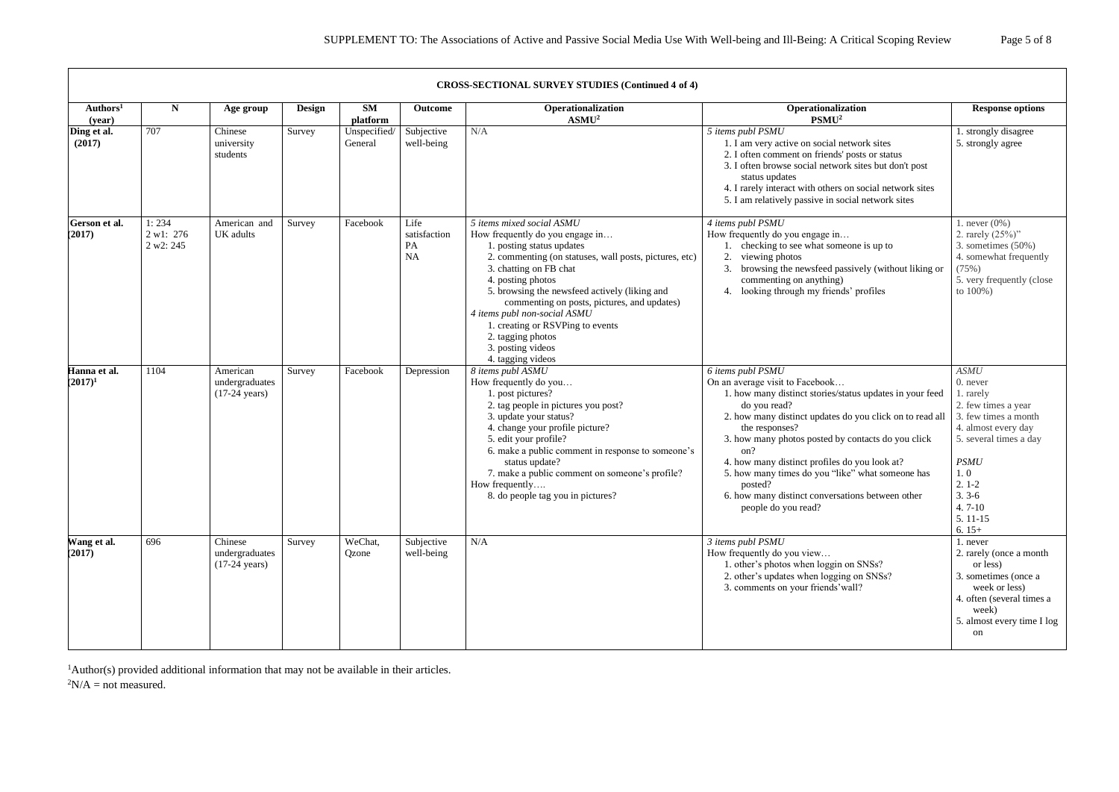|                                | <b>CROSS-SECTIONAL SURVEY STUDIES (Continued 4 of 4)</b> |                                                       |               |                         |                                         |                                                                                                                                                                                                                                                                                                                                                                                                                                       |                                                                                                                                                                                                                                                                                                                                                                                                                                                                        |                                                                                                                                                                                                               |  |  |  |  |
|--------------------------------|----------------------------------------------------------|-------------------------------------------------------|---------------|-------------------------|-----------------------------------------|---------------------------------------------------------------------------------------------------------------------------------------------------------------------------------------------------------------------------------------------------------------------------------------------------------------------------------------------------------------------------------------------------------------------------------------|------------------------------------------------------------------------------------------------------------------------------------------------------------------------------------------------------------------------------------------------------------------------------------------------------------------------------------------------------------------------------------------------------------------------------------------------------------------------|---------------------------------------------------------------------------------------------------------------------------------------------------------------------------------------------------------------|--|--|--|--|
| Authors <sup>1</sup><br>(year) | $\mathbf N$                                              | Age group                                             | <b>Design</b> | <b>SM</b><br>platform   | <b>Outcome</b>                          | Operationalization<br>ASMU <sup>2</sup>                                                                                                                                                                                                                                                                                                                                                                                               | Operationalization<br>PSMU <sup>2</sup>                                                                                                                                                                                                                                                                                                                                                                                                                                | <b>Response options</b>                                                                                                                                                                                       |  |  |  |  |
| Ding et al.<br>(2017)          | 707                                                      | Chinese<br>university<br>students                     | Survey        | Unspecified/<br>General | Subjective<br>well-being                | N/A                                                                                                                                                                                                                                                                                                                                                                                                                                   | 5 items publ PSMU<br>1. I am very active on social network sites<br>2. I often comment on friends' posts or status<br>3. I often browse social network sites but don't post<br>status updates<br>4. I rarely interact with others on social network sites<br>5. I am relatively passive in social network sites                                                                                                                                                        | 1. strongly disagree<br>5. strongly agree                                                                                                                                                                     |  |  |  |  |
| Gerson et al.<br>(2017)        | 1:234<br>2 w1: 276<br>2 w2: 245                          | American and<br>UK adults                             | Survey        | Facebook                | Life<br>satisfaction<br>PA<br><b>NA</b> | 5 items mixed social ASMU<br>How frequently do you engage in<br>1. posting status updates<br>2. commenting (on statuses, wall posts, pictures, etc)<br>3. chatting on FB chat<br>4. posting photos<br>5. browsing the newsfeed actively (liking and<br>commenting on posts, pictures, and updates)<br>4 items publ non-social ASMU<br>1. creating or RSVPing to events<br>2. tagging photos<br>3. posting videos<br>4. tagging videos | 4 items publ PSMU<br>How frequently do you engage in<br>checking to see what someone is up to<br>2.<br>viewing photos<br>browsing the newsfeed passively (without liking or<br>commenting on anything)<br>looking through my friends' profiles<br>4.                                                                                                                                                                                                                   | 1. never $(0\%)$<br>2. rarely $(25%)$ "<br>3. sometimes $(50\%)$<br>4. somewhat frequently<br>(75%)<br>5. very frequently (close<br>to 100%)                                                                  |  |  |  |  |
| Hanna et al.<br>$(2017)^1$     | 1104                                                     | American<br>undergraduates<br>$(17-24 \text{ years})$ | Survey        | Facebook                | Depression                              | 8 items publ ASMU<br>How frequently do you<br>1. post pictures?<br>2. tag people in pictures you post?<br>3. update your status?<br>4. change your profile picture?<br>5. edit your profile?<br>6. make a public comment in response to someone's<br>status update?<br>7. make a public comment on someone's profile?<br>How frequently<br>8. do people tag you in pictures?                                                          | 6 items publ PSMU<br>On an average visit to Facebook<br>1. how many distinct stories/status updates in your feed<br>do you read?<br>2. how many distinct updates do you click on to read all<br>the responses?<br>3. how many photos posted by contacts do you click<br>on?<br>4. how many distinct profiles do you look at?<br>5. how many times do you "like" what someone has<br>posted?<br>6. how many distinct conversations between other<br>people do you read? | ASMU<br>0. never<br>1. rarely<br>2. few times a year<br>3. few times a month<br>4. almost every day<br>5. several times a day<br><b>PSMU</b><br>1.0<br>$2.1-2$<br>$3.3-6$<br>$4.7 - 10$<br>5.11-15<br>$6.15+$ |  |  |  |  |
| Wang et al.<br>(2017)          | 696                                                      | Chinese<br>undergraduates<br>$(17-24 \text{ years})$  | Survey        | WeChat,<br>Qzone        | Subjective<br>well-being                | N/A                                                                                                                                                                                                                                                                                                                                                                                                                                   | $3$ items publ PSMU<br>How frequently do you view<br>1. other's photos when loggin on SNSs?<br>2. other's updates when logging on SNSs?<br>3. comments on your friends' wall?                                                                                                                                                                                                                                                                                          | 1. never<br>2. rarely (once a month<br>or less)<br>3. sometimes (once a<br>week or less)<br>4. often (several times a<br>week)<br>5. almost every time I log<br>on                                            |  |  |  |  |

<sup>1</sup>Author(s) provided additional information that may not be available in their articles.

 ${}^{2}N/A$  = not measured.

 $\Gamma$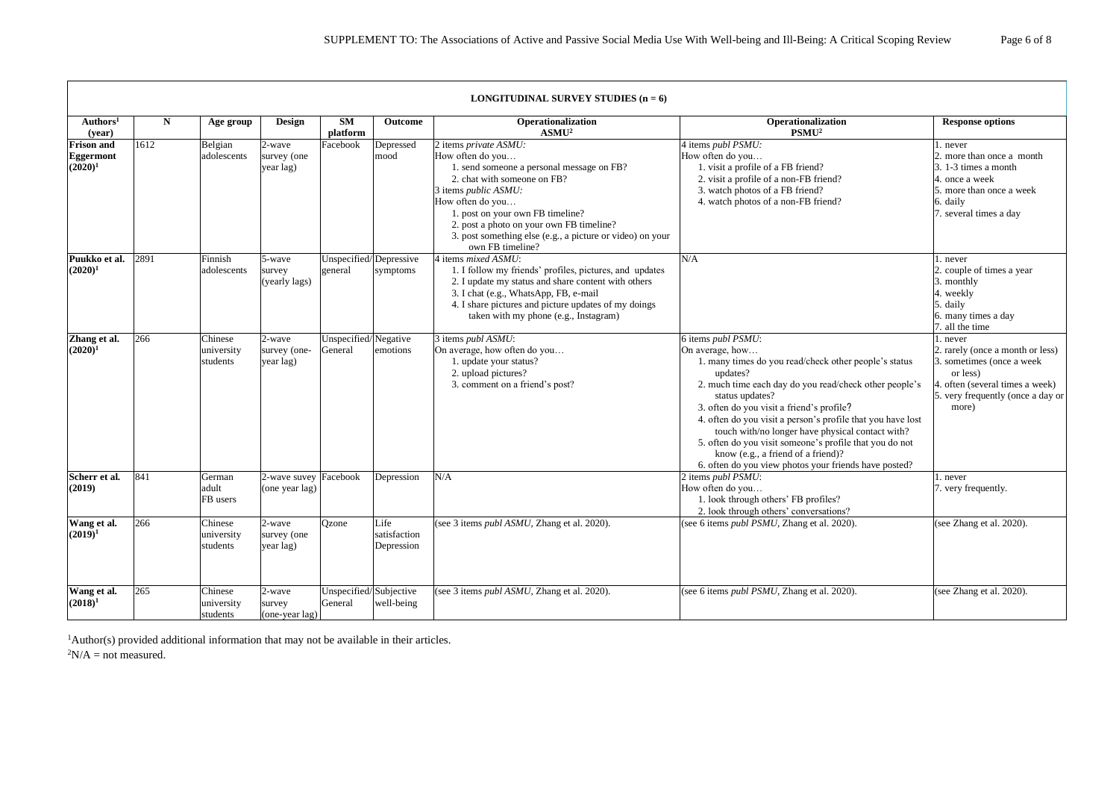|                                                     |           |                                   |                                         |                                   |                                    | <b>LONGITUDINAL SURVEY STUDIES</b> $(n = 6)$                                                                                                                                                                                                                                                                                               |                                                                                                                                                                                                                                                                                                                                                                                                                                                                                                                   |                                                                                                                                                                        |
|-----------------------------------------------------|-----------|-----------------------------------|-----------------------------------------|-----------------------------------|------------------------------------|--------------------------------------------------------------------------------------------------------------------------------------------------------------------------------------------------------------------------------------------------------------------------------------------------------------------------------------------|-------------------------------------------------------------------------------------------------------------------------------------------------------------------------------------------------------------------------------------------------------------------------------------------------------------------------------------------------------------------------------------------------------------------------------------------------------------------------------------------------------------------|------------------------------------------------------------------------------------------------------------------------------------------------------------------------|
| Authors <sup>1</sup><br>(year)                      | ${\bf N}$ | Age group                         | Design                                  | <b>SM</b><br>platform             | <b>Outcome</b>                     | Operationalization<br>ASMU <sup>2</sup>                                                                                                                                                                                                                                                                                                    | Operationalization<br>PSMU <sup>2</sup>                                                                                                                                                                                                                                                                                                                                                                                                                                                                           | <b>Response options</b>                                                                                                                                                |
| <b>Frison and</b><br><b>Eggermont</b><br>$(2020)^1$ | 1612      | Belgian<br>adolescents            | 2-wave<br>survey (one<br>year lag)      | Facebook                          | Depressed<br>mood                  | 2 items private ASMU:<br>How often do you<br>1. send someone a personal message on FB?<br>2. chat with someone on FB?<br>3 items <i>public ASMU</i> :<br>How often do you<br>1. post on your own FB timeline?<br>2. post a photo on your own FB timeline?<br>3. post something else (e.g., a picture or video) on your<br>own FB timeline? | 4 items <i>publ PSMU</i> :<br>How often do you<br>1. visit a profile of a FB friend?<br>2. visit a profile of a non-FB friend?<br>3. watch photos of a FB friend?<br>4. watch photos of a non-FB friend?                                                                                                                                                                                                                                                                                                          | 1. never<br>2. more than once a month<br>$3.1 - 3$ times a month<br>4. once a week<br>5. more than once a week<br>6. daily<br>7. several times a day                   |
| Puukko et al.<br>$(2020)^1$                         | 2891      | Finnish<br>adolescents            | 5-wave<br>survey<br>(yearly lags)       | general                           | Unspecified/Depressive<br>symptoms | 4 items mixed ASMU:<br>1. I follow my friends' profiles, pictures, and updates<br>2. I update my status and share content with others<br>3. I chat (e.g., WhatsApp, FB, e-mail<br>4. I share pictures and picture updates of my doings<br>taken with my phone (e.g., Instagram)                                                            | N/A                                                                                                                                                                                                                                                                                                                                                                                                                                                                                                               | 1. never<br>2. couple of times a year<br>3. monthly<br>4. weekly<br>5. daily<br>6. many times a day<br>7. all the time                                                 |
| Zhang et al.<br>$(2020)^1$                          | 266       | Chinese<br>university<br>students | 2-wave<br>survey (one-<br>year lag)     | Unspecified/Negative<br>General   | emotions                           | 3 items publ ASMU:<br>On average, how often do you<br>1. update your status?<br>2. upload pictures?<br>3. comment on a friend's post?                                                                                                                                                                                                      | 6 items publ PSMU:<br>On average, how<br>1. many times do you read/check other people's status<br>updates?<br>2. much time each day do you read/check other people's<br>status updates?<br>3. often do you visit a friend's profile?<br>4. often do you visit a person's profile that you have lost<br>touch with/no longer have physical contact with?<br>5. often do you visit someone's profile that you do not<br>know (e.g., a friend of a friend)?<br>6. often do you view photos your friends have posted? | l. never<br>2. rarely (once a month or less)<br>3. sometimes (once a week<br>or less)<br>4. often (several times a week)<br>5. very frequently (once a day or<br>more) |
| Scherr et al.<br>(2019)                             | 841       | German<br>adult<br>FB users       | 2-wave suvey Facebook<br>(one year lag) |                                   | Depression                         | N/A                                                                                                                                                                                                                                                                                                                                        | 2 items $publ$ $PSMU$ :<br>How often do you<br>1. look through others' FB profiles?<br>2. look through others' conversations?                                                                                                                                                                                                                                                                                                                                                                                     | . never<br>7. very frequently.                                                                                                                                         |
| Wang et al.<br>$(2019)^1$                           | 266       | Chinese<br>university<br>students | 2-wave<br>survey (one<br>year lag)      | Qzone                             | Life<br>satisfaction<br>Depression | (see 3 items <i>publ ASMU</i> , Zhang et al. 2020).                                                                                                                                                                                                                                                                                        | (see 6 items <i>publ PSMU</i> , Zhang et al. 2020).                                                                                                                                                                                                                                                                                                                                                                                                                                                               | (see Zhang et al. 2020).                                                                                                                                               |
| Wang et al.<br>$(2018)^1$                           | 265       | Chinese<br>university<br>students | 2-wave<br>survey<br>(one-year lag)      | Unspecified/Subjective<br>General | well-being                         | (see 3 items <i>publ ASMU</i> , Zhang et al. 2020).                                                                                                                                                                                                                                                                                        | (see 6 items <i>publ PSMU</i> , Zhang et al. 2020).                                                                                                                                                                                                                                                                                                                                                                                                                                                               | (see Zhang et al. 2020).                                                                                                                                               |

<sup>1</sup>Author(s) provided additional information that may not be available in their articles.

 ${}^{2}N/A$  = not measured.

Г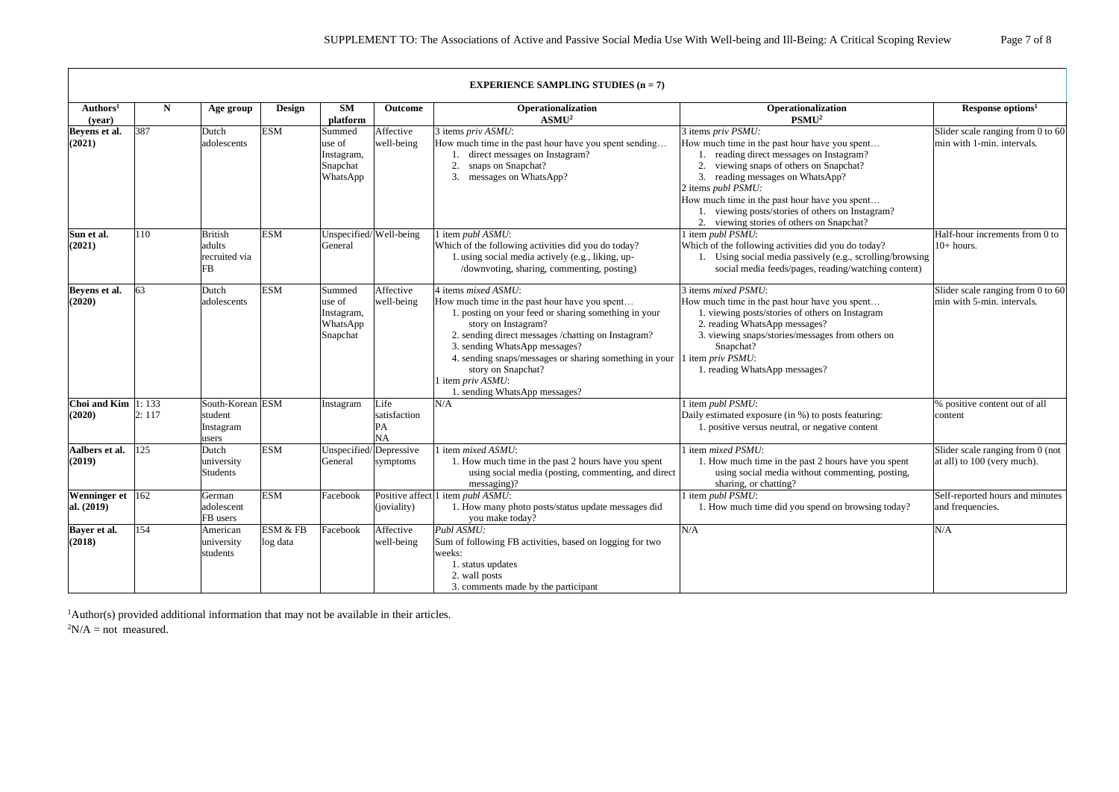|                                 |       |                                                   |                      |                                                        |                                  | <b>EXPERIENCE SAMPLING STUDIES <math>(n = 7)</math></b>                                                                                                                                                                                                                                                                                                                       |                                                                                                                                                                                                                                                                                                                                                               |                                                                 |
|---------------------------------|-------|---------------------------------------------------|----------------------|--------------------------------------------------------|----------------------------------|-------------------------------------------------------------------------------------------------------------------------------------------------------------------------------------------------------------------------------------------------------------------------------------------------------------------------------------------------------------------------------|---------------------------------------------------------------------------------------------------------------------------------------------------------------------------------------------------------------------------------------------------------------------------------------------------------------------------------------------------------------|-----------------------------------------------------------------|
| Authors <sup>1</sup><br>(year)  | N     | Age group                                         | Design               | <b>SM</b><br>platform                                  | Outcome                          | Operationalization<br>ASMU <sup>2</sup>                                                                                                                                                                                                                                                                                                                                       | Operationalization<br>PSMU <sup>2</sup>                                                                                                                                                                                                                                                                                                                       | Response options <sup>1</sup>                                   |
| Beyens et al.<br>(2021)         | 387   | Dutch<br>adolescents                              | <b>ESM</b>           | Summed<br>use of<br>Instagram,<br>Snapchat<br>WhatsApp | Affective<br>well-being          | 3 items priv ASMU:<br>How much time in the past hour have you spent sending<br>direct messages on Instagram?<br>2.<br>snaps on Snapchat?<br>3.<br>messages on WhatsApp?                                                                                                                                                                                                       | 3 items priv PSMU:<br>How much time in the past hour have you spent<br>reading direct messages on Instagram?<br>viewing snaps of others on Snapchat?<br>reading messages on WhatsApp?<br>2 items publ PSMU:<br>How much time in the past hour have you spent<br>viewing posts/stories of others on Instagram?<br>viewing stories of others on Snapchat?<br>2. | Slider scale ranging from 0 to 60<br>min with 1-min. intervals. |
| Sun et al.<br>(2021)            | 110   | <b>British</b><br>adults<br>recruited via<br>FB   | <b>ESM</b>           | Unspecified/Well-being<br>General                      |                                  | l item publ ASMU:<br>Which of the following activities did you do today?<br>1. using social media actively (e.g., liking, up-<br>/downvoting, sharing, commenting, posting)                                                                                                                                                                                                   | 1 item publ PSMU:<br>Which of the following activities did you do today?<br>Using social media passively (e.g., scrolling/browsing<br>social media feeds/pages, reading/watching content)                                                                                                                                                                     | Half-hour increments from 0 to<br>$10+ hours.$                  |
| Beyens et al.<br>(2020)         | 63    | Dutch<br>adolescents                              | <b>ESM</b>           | Summed<br>use of<br>Instagram,<br>WhatsApp<br>Snapchat | Affective<br>well-being          | 4 items mixed ASMU:<br>How much time in the past hour have you spent<br>1. posting on your feed or sharing something in your<br>story on Instagram?<br>2. sending direct messages /chatting on Instagram?<br>3. sending WhatsApp messages?<br>4. sending snaps/messages or sharing something in your<br>story on Snapchat?<br>l item priv ASMU:<br>sending WhatsApp messages? | 3 items <i>mixed PSMU</i> :<br>How much time in the past hour have you spent<br>1. viewing posts/stories of others on Instagram<br>2. reading WhatsApp messages?<br>3. viewing snaps/stories/messages from others on<br>Snapchat?<br>l item priv PSMU:<br>1. reading WhatsApp messages?                                                                       | Slider scale ranging from 0 to 60<br>min with 5-min. intervals. |
| Choi and Kim $ 1:133$<br>(2020) | 2:117 | South-Korean ESM<br>student<br>Instagram<br>users |                      | Instagram                                              | Life<br>satisfaction<br>PA<br>NA | N/A                                                                                                                                                                                                                                                                                                                                                                           | l item <i>publ PSMU</i> :<br>Daily estimated exposure (in %) to posts featuring:<br>1. positive versus neutral, or negative content                                                                                                                                                                                                                           | % positive content out of all<br>content                        |
| Aalbers et al.<br>(2019)        | 125   | Dutch<br>university<br>Students                   | <b>ESM</b>           | Unspecified/Depressive<br>General                      | symptoms                         | item mixed ASMU:<br>1. How much time in the past 2 hours have you spent<br>using social media (posting, commenting, and direct<br>messaging)?                                                                                                                                                                                                                                 | 1 item mixed PSMU:<br>1. How much time in the past 2 hours have you spent<br>using social media without commenting, posting,<br>sharing, or chatting?                                                                                                                                                                                                         | Slider scale ranging from 0 (not<br>at all) to 100 (very much). |
| Wenninger et 162<br>al. (2019)  |       | German<br>adolescent<br>FB users                  | <b>ESM</b>           | Facebook                                               | (joviality)                      | Positive affect 1 item <i>publ ASMU</i> :<br>1. How many photo posts/status update messages did<br>you make today?                                                                                                                                                                                                                                                            | 1 item publ PSMU:<br>1. How much time did you spend on browsing today?                                                                                                                                                                                                                                                                                        | Self-reported hours and minutes<br>and frequencies.             |
| Bayer et al.<br>(2018)          | 154   | American<br>university<br>students                | ESM & FB<br>log data | Facebook                                               | Affective<br>well-being          | Publ ASMU:<br>Sum of following FB activities, based on logging for two<br>weeks:<br>1. status updates<br>2. wall posts<br>3. comments made by the participant                                                                                                                                                                                                                 | N/A                                                                                                                                                                                                                                                                                                                                                           | N/A                                                             |

<sup>1</sup>Author(s) provided additional information that may not be available in their articles.  ${}^{2}N/A = not$  measured.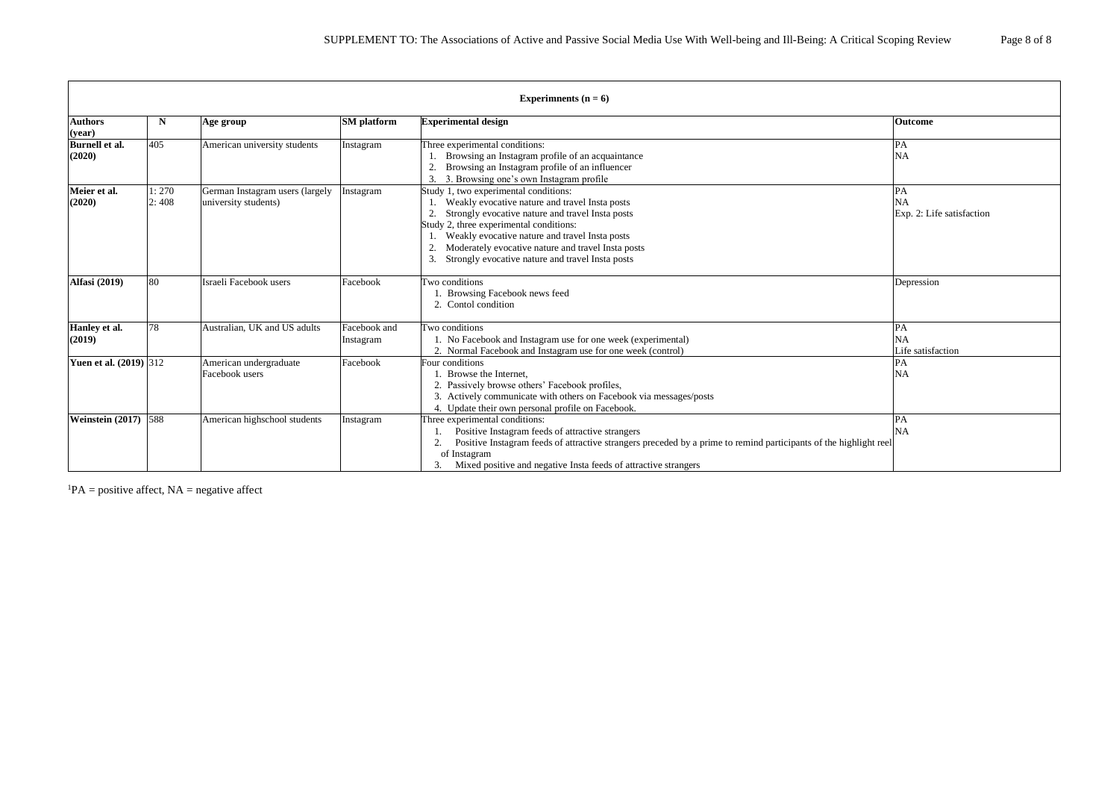|                                 | Experimments ( $n = 6$ ) |                                                         |                           |                                                                                                                                                                                                                                                                                                                                                    |                                        |  |  |  |  |
|---------------------------------|--------------------------|---------------------------------------------------------|---------------------------|----------------------------------------------------------------------------------------------------------------------------------------------------------------------------------------------------------------------------------------------------------------------------------------------------------------------------------------------------|----------------------------------------|--|--|--|--|
| <b>Authors</b><br>(year)        | $\mathbf N$              | Age group                                               | <b>SM</b> platform        | <b>Experimental design</b>                                                                                                                                                                                                                                                                                                                         | <b>Outcome</b>                         |  |  |  |  |
| <b>Burnell</b> et al.<br>(2020) | 405                      | American university students                            | Instagram                 | Three experimental conditions:<br>Browsing an Instagram profile of an acquaintance<br>Browsing an Instagram profile of an influencer<br>2.<br>3. Browsing one's own Instagram profile                                                                                                                                                              | <b>NA</b>                              |  |  |  |  |
| Meier et al.<br>(2020)          | 1:270<br>2:408           | German Instagram users (largely<br>university students) | Instagram                 | Study 1, two experimental conditions:<br>Weakly evocative nature and travel Insta posts<br>Strongly evocative nature and travel Insta posts<br>Study 2, three experimental conditions:<br>Weakly evocative nature and travel Insta posts<br>Moderately evocative nature and travel Insta posts<br>Strongly evocative nature and travel Insta posts | <b>NA</b><br>Exp. 2: Life satisfaction |  |  |  |  |
| <b>Alfasi</b> (2019)            | 80                       | Israeli Facebook users                                  | Facebook                  | Two conditions<br>Browsing Facebook news feed<br>2. Contol condition                                                                                                                                                                                                                                                                               | Depression                             |  |  |  |  |
| Hanley et al.<br>(2019)         | 78                       | Australian, UK and US adults                            | Facebook and<br>Instagram | Two conditions<br>1. No Facebook and Instagram use for one week (experimental)<br>2. Normal Facebook and Instagram use for one week (control)                                                                                                                                                                                                      | PA<br><b>NA</b><br>Life satisfaction   |  |  |  |  |
| <b>Yuen et al.</b> (2019) 312   |                          | American undergraduate<br>Facebook users                | Facebook                  | Four conditions<br>. Browse the Internet.<br>2. Passively browse others' Facebook profiles,<br>3. Actively communicate with others on Facebook via messages/posts<br>4. Update their own personal profile on Facebook.                                                                                                                             | PA<br><b>NA</b>                        |  |  |  |  |
| <b>Weinstein (2017)</b> 588     |                          | American highschool students                            | Instagram                 | Three experimental conditions:<br>Positive Instagram feeds of attractive strangers<br>2.<br>Positive Instagram feeds of attractive strangers preceded by a prime to remind participants of the highlight reel<br>of Instagram<br>Mixed positive and negative Insta feeds of attractive strangers                                                   | <b>NA</b>                              |  |  |  |  |

 ${}^{1}PA$  = positive affect, NA = negative affect

 $\Gamma$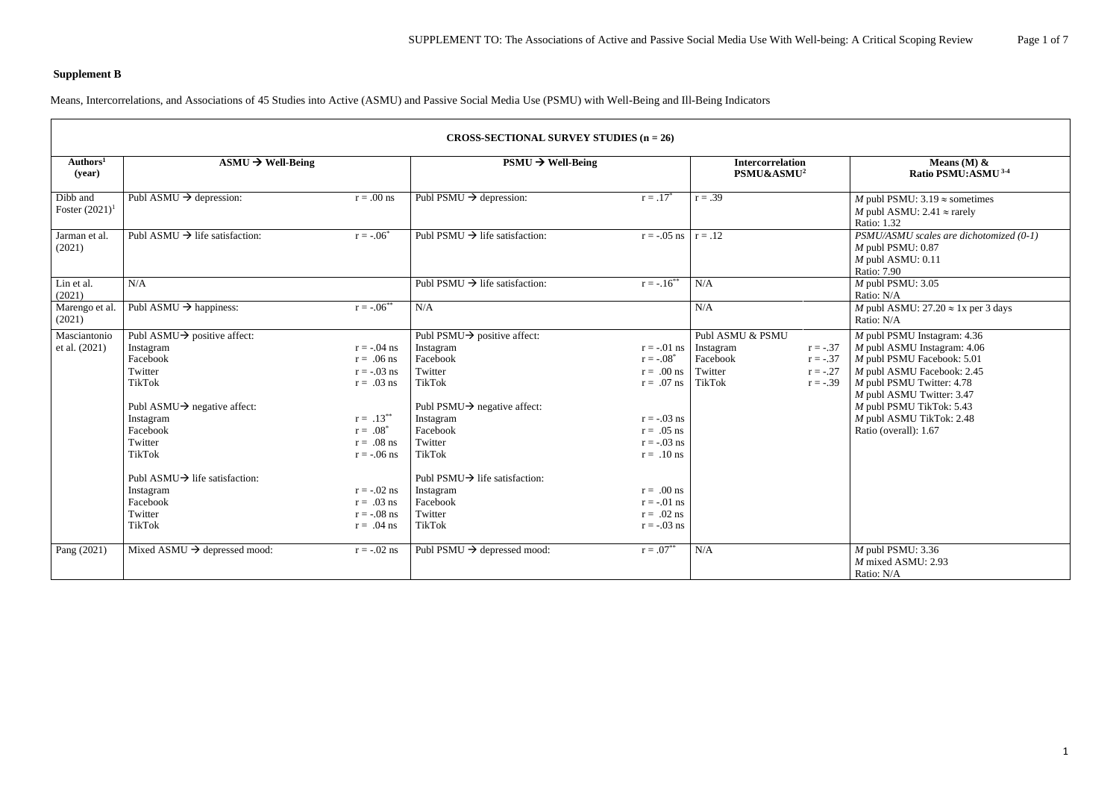# **Supplement B**

 $\sqrt{2}$ 

Means, Intercorrelations, and Associations of 45 Studies into Active (ASMU) and Passive Social Media Use (PSMU) with Well-Being and Ill-Being Indicators

|                                | CROSS-SECTIONAL SURVEY STUDIES $(n = 26)$   |                 |                                            |                         |                                                   |                                                                                                               |  |  |  |  |
|--------------------------------|---------------------------------------------|-----------------|--------------------------------------------|-------------------------|---------------------------------------------------|---------------------------------------------------------------------------------------------------------------|--|--|--|--|
| Authors <sup>1</sup><br>(year) | $\text{ASMU} \rightarrow \text{Well-Being}$ |                 | $PSMU \rightarrow Well-Being$              |                         | <b>Intercorrelation</b><br>PSMU&ASMU <sup>2</sup> | Means (M) $\&$<br>Ratio PSMU:ASMU <sup>3-4</sup>                                                              |  |  |  |  |
| Dibb and<br>Foster $(2021)^1$  | Publ ASMU $\rightarrow$ depression:         | $r = .00$ ns    | Publ PSMU $\rightarrow$ depression:        | $r = .17^*$             | $r = .39$                                         | M publ PSMU: $3.19 \approx$ sometimes<br>M publ ASMU: 2.41 $\approx$ rarely<br>Ratio: 1.32                    |  |  |  |  |
| Jarman et al.<br>(2021)        | Publ ASMU $\rightarrow$ life satisfaction:  | $r = -.06^*$    | Publ PSMU $\rightarrow$ life satisfaction: | $r = -.05$ ns $r = .12$ |                                                   | PSMU/ASMU scales are dichotomized (0-1)<br>$M$ publ PSMU: $0.87$<br>$M$ publ ASMU: 0.11<br><b>Ratio: 7.90</b> |  |  |  |  |
| Lin et al.<br>(2021)           | N/A                                         |                 | Publ PSMU $\rightarrow$ life satisfaction: | $r = -.16^{**}$         | N/A                                               | $M$ publ PSMU: 3.05<br>Ratio: N/A                                                                             |  |  |  |  |
| Marengo et al.<br>(2021)       | Publ ASMU $\rightarrow$ happiness:          | $r = -.06^{**}$ | N/A                                        |                         | N/A                                               | M publ ASMU: $27.20 \approx 1x$ per 3 days<br>Ratio: N/A                                                      |  |  |  |  |
| Masciantonio                   | Publ ASMU $\rightarrow$ positive affect:    |                 | Publ PSMU $\rightarrow$ positive affect:   |                         | Publ ASMU & PSMU                                  | $M$ publ PSMU Instagram: 4.36                                                                                 |  |  |  |  |
| et al. (2021)                  | Instagram                                   | $r = -.04$ ns   | Instagram                                  | $r = -.01$ ns           | Instagram<br>$r = -.37$                           | $M$ publ ASMU Instagram: 4.06                                                                                 |  |  |  |  |
|                                | Facebook                                    | $r = .06$ ns    | Facebook                                   | $r = -.08^*$            | Facebook<br>$r = -.37$                            | $M$ publ PSMU Facebook: 5.01                                                                                  |  |  |  |  |
|                                | Twitter                                     | $r = -.03$ ns   | Twitter                                    | $r = .00$ ns            | Twitter<br>$r = -.27$                             | M publ ASMU Facebook: 2.45                                                                                    |  |  |  |  |
|                                | <b>TikTok</b>                               | $r = .03$ ns    | <b>TikTok</b>                              | $r = .07$ ns            | <b>TikTok</b><br>$r = -.39$                       | M publ PSMU Twitter: 4.78<br>M publ ASMU Twitter: 3.47                                                        |  |  |  |  |
|                                | Publ ASMU $\rightarrow$ negative affect:    |                 | Publ PSMU $\rightarrow$ negative affect:   |                         |                                                   | $M$ publ PSMU TikTok: 5.43                                                                                    |  |  |  |  |
|                                | Instagram                                   | $r = .13***$    | Instagram                                  | $r = -.03$ ns           |                                                   | M publ ASMU TikTok: 2.48                                                                                      |  |  |  |  |
|                                | Facebook                                    | $r = .08^*$     | Facebook                                   | $r = .05$ ns            |                                                   | Ratio (overall): 1.67                                                                                         |  |  |  |  |
|                                | Twitter                                     | $r = .08$ ns    | Twitter                                    | $r = -.03$ ns           |                                                   |                                                                                                               |  |  |  |  |
|                                | <b>TikTok</b>                               | $r = -.06$ ns   | <b>TikTok</b>                              | $r = .10$ ns            |                                                   |                                                                                                               |  |  |  |  |
|                                | Publ ASMU $\rightarrow$ life satisfaction:  |                 | Publ PSMU $\rightarrow$ life satisfaction: |                         |                                                   |                                                                                                               |  |  |  |  |
|                                | Instagram                                   | $r = -.02$ ns   | Instagram                                  | $r = .00$ ns            |                                                   |                                                                                                               |  |  |  |  |
|                                | Facebook                                    | $r = .03$ ns    | Facebook                                   | $r = -.01$ ns           |                                                   |                                                                                                               |  |  |  |  |
|                                | Twitter                                     | $r = -.08$ ns   | Twitter                                    | $r = .02$ ns            |                                                   |                                                                                                               |  |  |  |  |
|                                | <b>TikTok</b>                               | $r = .04$ ns    | <b>TikTok</b>                              | $r = -.03$ ns           |                                                   |                                                                                                               |  |  |  |  |
| Pang (2021)                    | Mixed ASMU $\rightarrow$ depressed mood:    | $r = -.02$ ns   | Publ PSMU $\rightarrow$ depressed mood:    | $r = .07**$             | N/A                                               | $M$ publ PSMU: 3.36<br>$M$ mixed ASMU: 2.93<br>Ratio: N/A                                                     |  |  |  |  |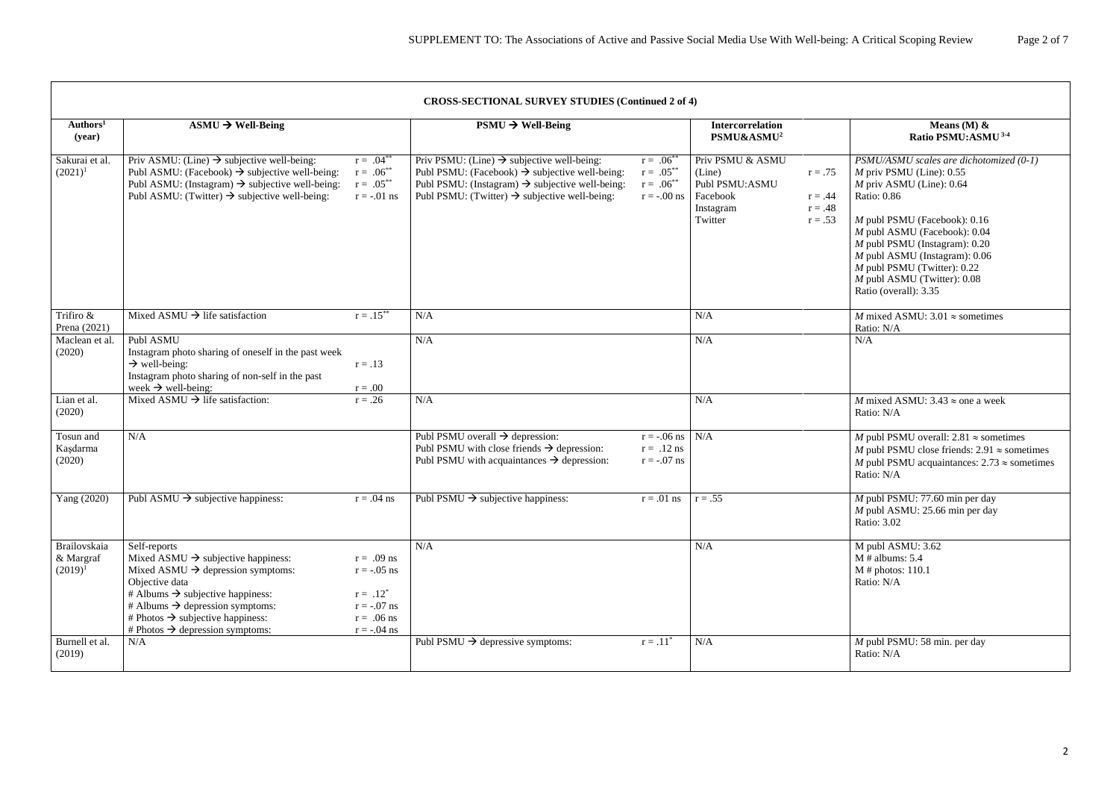|                                         |                                                                                                                                                                                                                                                                                                                                 |                                                                                                | <b>CROSS-SECTIONAL SURVEY STUDIES (Continued 2 of 4)</b>                                                                                                                                                                                         |                                                                   |                                                                                                                                      |                                                                                                                                                                                                                                                                                                                                                                  |
|-----------------------------------------|---------------------------------------------------------------------------------------------------------------------------------------------------------------------------------------------------------------------------------------------------------------------------------------------------------------------------------|------------------------------------------------------------------------------------------------|--------------------------------------------------------------------------------------------------------------------------------------------------------------------------------------------------------------------------------------------------|-------------------------------------------------------------------|--------------------------------------------------------------------------------------------------------------------------------------|------------------------------------------------------------------------------------------------------------------------------------------------------------------------------------------------------------------------------------------------------------------------------------------------------------------------------------------------------------------|
| Authors <sup>1</sup><br>(year)          | $\text{ASMU} \rightarrow \text{Well-Being}$                                                                                                                                                                                                                                                                                     |                                                                                                | $PSMU \rightarrow Well-Being$                                                                                                                                                                                                                    |                                                                   | <b>Intercorrelation</b><br>PSMU&ASMU <sup>2</sup>                                                                                    | Means (M) $\&$<br>Ratio PSMU:ASMU <sup>3-4</sup>                                                                                                                                                                                                                                                                                                                 |
| Sakurai et al.<br>$(2021)^1$            | Priv ASMU: (Line) $\rightarrow$ subjective well-being:<br>Publ ASMU: (Facebook) $\rightarrow$ subjective well-being:<br>Publ ASMU: (Instagram) $\rightarrow$ subjective well-being:<br>Publ ASMU: (Twitter) $\rightarrow$ subjective well-being:                                                                                | $r = .04^{**}$<br>$r = .06^{**}$<br>$r = .05***$<br>$r = -.01$ ns                              | Priv PSMU: (Line) $\rightarrow$ subjective well-being:<br>Publ PSMU: (Facebook) $\rightarrow$ subjective well-being:<br>Publ PSMU: (Instagram) $\rightarrow$ subjective well-being:<br>Publ PSMU: (Twitter) $\rightarrow$ subjective well-being: | $r = .06^{**}$<br>$r = .05***$<br>$r = .06^{**}$<br>$r = -.00$ ns | Priv PSMU & ASMU<br>(Line)<br>$r = .75$<br>Publ PSMU:ASMU<br>$r = .44$<br>Facebook<br>$r = .48$<br>Instagram<br>Twitter<br>$r = .53$ | PSMU/ASMU scales are dichotomized (0-1)<br>$M$ priv PSMU (Line): 0.55<br>$M$ priv ASMU (Line): 0.64<br><b>Ratio: 0.86</b><br>$M$ publ PSMU (Facebook): 0.16<br>M publ ASMU (Facebook): 0.04<br>$M$ publ PSMU (Instagram): $0.20$<br>$M$ publ ASMU (Instagram): $0.06$<br>$M$ publ PSMU (Twitter): 0.22<br>$M$ publ ASMU (Twitter): 0.08<br>Ratio (overall): 3.35 |
| Trifiro &<br>Prena (2021)               | Mixed ASMU $\rightarrow$ life satisfaction                                                                                                                                                                                                                                                                                      | $r=.15***$                                                                                     | N/A                                                                                                                                                                                                                                              |                                                                   | N/A                                                                                                                                  | <i>M</i> mixed ASMU: $3.01 \approx$ sometimes<br>Ratio: N/A                                                                                                                                                                                                                                                                                                      |
| Maclean et al.<br>(2020)                | Publ ASMU<br>Instagram photo sharing of oneself in the past week<br>$\rightarrow$ well-being:<br>Instagram photo sharing of non-self in the past<br>week $\rightarrow$ well-being:                                                                                                                                              | $r = .13$<br>$r = .00$                                                                         | N/A                                                                                                                                                                                                                                              |                                                                   | N/A                                                                                                                                  | N/A                                                                                                                                                                                                                                                                                                                                                              |
| Lian et al.<br>(2020)                   | Mixed ASMU $\rightarrow$ life satisfaction:                                                                                                                                                                                                                                                                                     | $r = .26$                                                                                      | N/A                                                                                                                                                                                                                                              |                                                                   | N/A                                                                                                                                  | <i>M</i> mixed ASMU: 3.43 $\approx$ one a week<br>Ratio: N/A                                                                                                                                                                                                                                                                                                     |
| Tosun and<br>Kaşdarma<br>(2020)         | N/A                                                                                                                                                                                                                                                                                                                             |                                                                                                | Publ PSMU overall $\rightarrow$ depression:<br>Publ PSMU with close friends $\rightarrow$ depression:<br>Publ PSMU with acquaintances $\rightarrow$ depression:                                                                                  | $r = -.06$ ns $\vert$ N/A<br>$r = .12$ ns<br>$r = -.07$ ns        |                                                                                                                                      | <i>M</i> publ PSMU overall: $2.81 \approx$ sometimes<br><i>M</i> publ PSMU close friends: $2.91 \approx$ sometimes<br><i>M</i> publ PSMU acquaintances: $2.73 \approx$ sometimes<br>Ratio: N/A                                                                                                                                                                   |
| Yang (2020)                             | Publ ASMU $\rightarrow$ subjective happiness:                                                                                                                                                                                                                                                                                   | $r = .04$ ns                                                                                   | Publ PSMU $\rightarrow$ subjective happiness:                                                                                                                                                                                                    | $r = .01$ ns                                                      | $r = .55$                                                                                                                            | $M$ publ PSMU: 77.60 min per day<br>M publ ASMU: 25.66 min per day<br>Ratio: 3.02                                                                                                                                                                                                                                                                                |
| Brailovskaia<br>& Margraf<br>$(2019)^1$ | Self-reports<br>Mixed ASMU $\rightarrow$ subjective happiness:<br>Mixed ASMU $\rightarrow$ depression symptoms:<br>Objective data<br># Albums $\rightarrow$ subjective happiness:<br># Albums $\rightarrow$ depression symptoms:<br># Photos $\rightarrow$ subjective happiness:<br># Photos $\rightarrow$ depression symptoms: | $r = .09$ ns<br>$r = -.05$ ns<br>$r = .12^*$<br>$r = -.07$ ns<br>$r = .06$ ns<br>$r = -.04$ ns | N/A                                                                                                                                                                                                                                              |                                                                   | $\rm N/A$                                                                                                                            | M publ ASMU: 3.62<br>M # albums: $5.4$<br>$M \#$ photos: 110.1<br>Ratio: N/A                                                                                                                                                                                                                                                                                     |
| Burnell et al.<br>(2019)                | N/A                                                                                                                                                                                                                                                                                                                             |                                                                                                | Publ PSMU $\rightarrow$ depressive symptoms:                                                                                                                                                                                                     | $r = .11^*$                                                       | N/A                                                                                                                                  | $M$ publ PSMU: 58 min. per day<br>Ratio: N/A                                                                                                                                                                                                                                                                                                                     |

 $\sqrt{ }$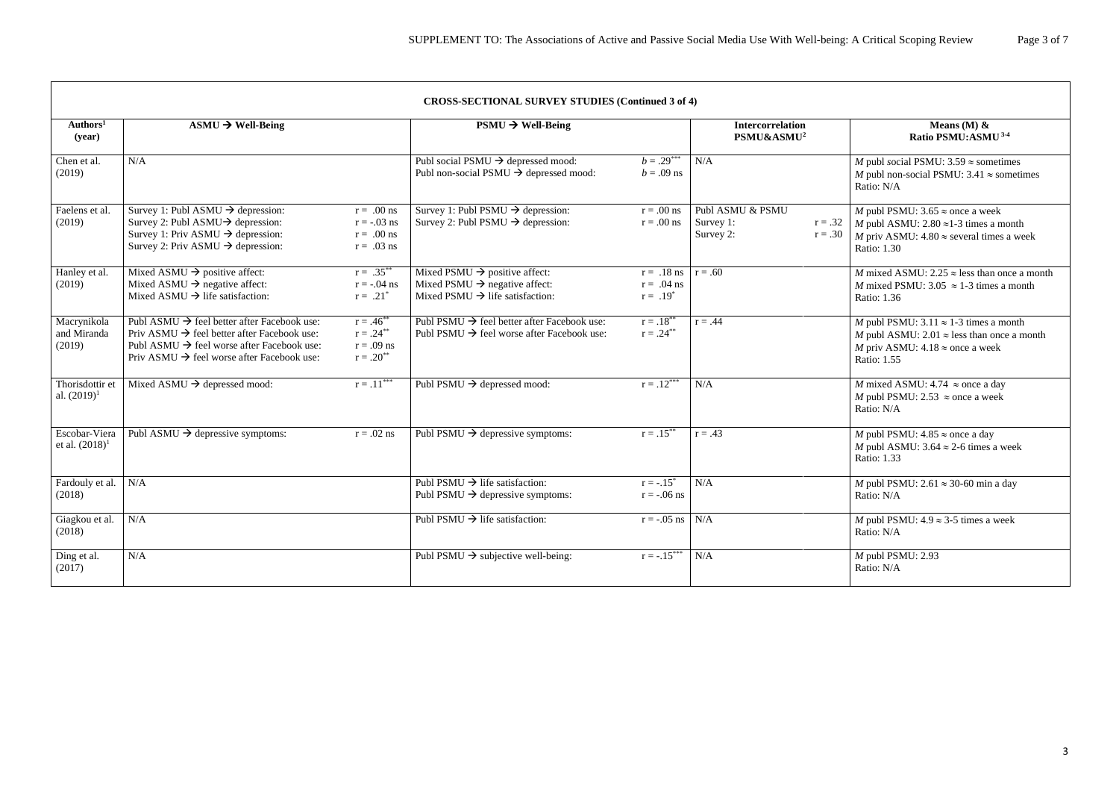## **CROSS-SECTIONAL SURVEY STUDIES (Continued 3 of 4)**

|                                      | CROSS-SECTIONAL SURVEY STUDIES (Continued 3 of 4)                                                                                                                                                                                      |                                                                |                                                                                                                                       |                                                         |                                                       |                                                                                                                                                                       |  |  |  |
|--------------------------------------|----------------------------------------------------------------------------------------------------------------------------------------------------------------------------------------------------------------------------------------|----------------------------------------------------------------|---------------------------------------------------------------------------------------------------------------------------------------|---------------------------------------------------------|-------------------------------------------------------|-----------------------------------------------------------------------------------------------------------------------------------------------------------------------|--|--|--|
| Authors <sup>1</sup><br>(year)       | $\text{ASMU} \rightarrow \text{Well-Being}$                                                                                                                                                                                            |                                                                | $PSMU \rightarrow Well-Being$                                                                                                         |                                                         | <b>Intercorrelation</b><br>PSMU&ASMU <sup>2</sup>     | Means (M) $\&$<br>Ratio PSMU:ASMU <sup>3-4</sup>                                                                                                                      |  |  |  |
| Chen et al.<br>(2019)                | N/A                                                                                                                                                                                                                                    |                                                                | Publ social PSMU $\rightarrow$ depressed mood:<br>Publ non-social PSMU $\rightarrow$ depressed mood:                                  | $b=.29***$<br>$b = .09$ ns                              | N/A                                                   | <i>M</i> publ social PSMU: $3.59 \approx$ sometimes<br><i>M</i> publ non-social PSMU: 3.41 $\approx$ sometimes<br>Ratio: N/A                                          |  |  |  |
| Faelens et al.<br>(2019)             | Survey 1: Publ ASMU $\rightarrow$ depression:<br>Survey 2: Publ ASMU $\rightarrow$ depression:<br>Survey 1: Priv ASMU $\rightarrow$ depression:<br>Survey 2: Priv ASMU $\rightarrow$ depression:                                       | $r = .00$ ns<br>$r = -.03$ ns<br>$r = .00$ ns<br>$r = .03$ ns  | Survey 1: Publ PSMU $\rightarrow$ depression:<br>Survey 2: Publ PSMU $\rightarrow$ depression:                                        | $r = .00$ ns<br>$r = .00$ ns                            | Publ ASMU & PSMU<br>Survey 1:<br>Survey 2:<br>$r=.30$ | M publ PSMU: $3.65 \approx$ once a week<br>r = .32   M publ ASMU: 2.80 $\approx$ 1-3 times a month<br>M priv ASMU: $4.80 \approx$ several times a week<br>Ratio: 1.30 |  |  |  |
| Hanley et al.<br>(2019)              | Mixed ASMU $\rightarrow$ positive affect:<br>Mixed ASMU $\rightarrow$ negative affect:<br>Mixed ASMU $\rightarrow$ life satisfaction:                                                                                                  | $r = .35***$<br>$r = -.04$ ns<br>$r = .21^*$                   | Mixed PSMU $\rightarrow$ positive affect:<br>Mixed PSMU $\rightarrow$ negative affect:<br>Mixed PSMU $\rightarrow$ life satisfaction: | $r = .18$ ns   $r = .60$<br>$r = .04$ ns<br>$r = .19^*$ |                                                       | <i>M</i> mixed ASMU: 2.25 $\approx$ less than once a month<br>M mixed PSMU: 3.05 $\approx$ 1-3 times a month<br>Ratio: 1.36                                           |  |  |  |
| Macrynikola<br>and Miranda<br>(2019) | Publ ASMU $\rightarrow$ feel better after Facebook use:<br>Priv ASMU $\rightarrow$ feel better after Facebook use:<br>Publ ASMU $\rightarrow$ feel worse after Facebook use:<br>Priv ASMU $\rightarrow$ feel worse after Facebook use: | $r = .46^{**}$<br>$r = .24***$<br>$r = .09$ ns<br>$r=.20^{**}$ | Publ PSMU $\rightarrow$ feel better after Facebook use:<br>Publ PSMU $\rightarrow$ feel worse after Facebook use:                     | $r=.18^{**}$<br>$r = .24***$                            | $r = .44$                                             | M publ PSMU: $3.11 \approx 1-3$ times a month<br>M publ ASMU: $2.01 \approx$ less than once a month<br>M priv ASMU: $4.18 \approx$ once a week<br>Ratio: 1.55         |  |  |  |
| Thorisdottir et<br>al. $(2019)^1$    | Mixed ASMU $\rightarrow$ depressed mood:                                                                                                                                                                                               | $r=.11***$                                                     | Publ PSMU $\rightarrow$ depressed mood:                                                                                               | $r=.12***$                                              | N/A                                                   | <i>M</i> mixed ASMU: 4.74 $\approx$ once a day<br><i>M</i> publ PSMU: 2.53 $\approx$ once a week<br>Ratio: N/A                                                        |  |  |  |
| Escobar-Viera<br>et al. $(2018)^1$   | Publ ASMU $\rightarrow$ depressive symptoms:                                                                                                                                                                                           | $r = .02$ ns                                                   | Publ PSMU $\rightarrow$ depressive symptoms:                                                                                          | $r = .15***$                                            | $r = .43$                                             | M publ PSMU: $4.85 \approx$ once a day<br>M publ ASMU: 3.64 $\approx$ 2-6 times a week<br>Ratio: 1.33                                                                 |  |  |  |
| Fardouly et al.<br>(2018)            | N/A                                                                                                                                                                                                                                    |                                                                | Publ PSMU $\rightarrow$ life satisfaction:<br>Publ PSMU $\rightarrow$ depressive symptoms:                                            | $r = -.15^*$<br>$r = -.06$ ns                           | N/A                                                   | M publ PSMU: $2.61 \approx 30{\text -}60$ min a day<br>Ratio: N/A                                                                                                     |  |  |  |
| Giagkou et al.<br>(2018)             | N/A                                                                                                                                                                                                                                    |                                                                | Publ PSMU $\rightarrow$ life satisfaction:                                                                                            | $r = -.05$ ns   N/A                                     |                                                       | M publ PSMU: $4.9 \approx 3-5$ times a week<br>Ratio: N/A                                                                                                             |  |  |  |
| Ding et al.<br>(2017)                | N/A                                                                                                                                                                                                                                    |                                                                | Publ PSMU $\rightarrow$ subjective well-being:                                                                                        | $r = -.15***$                                           | N/A                                                   | $M$ publ PSMU: 2.93<br>Ratio: N/A                                                                                                                                     |  |  |  |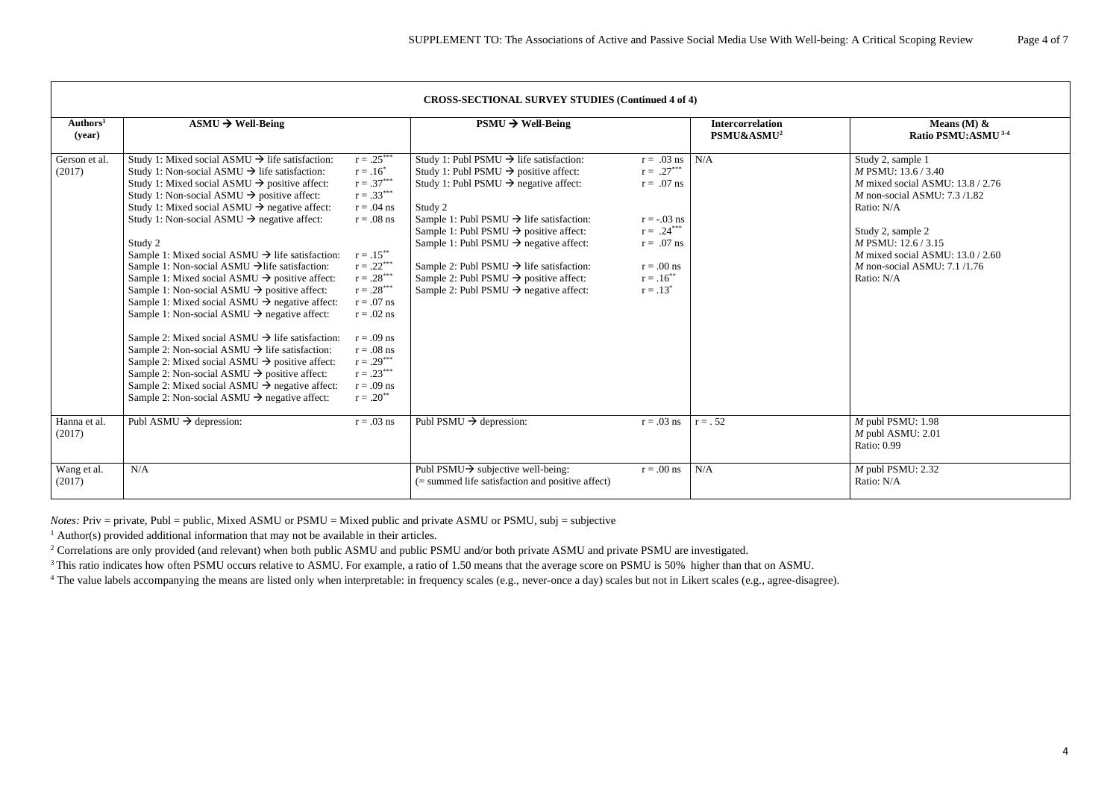| Authors <sup>1</sup><br>$\text{ASMU} \rightarrow \text{Well-Being}$<br><b>Intercorrelation</b><br>Means (M) $\&$<br>$PSMU \rightarrow Well-Being$ |                                                              |              |                                                      |                              |                        |                                           |  |  |  |
|---------------------------------------------------------------------------------------------------------------------------------------------------|--------------------------------------------------------------|--------------|------------------------------------------------------|------------------------------|------------------------|-------------------------------------------|--|--|--|
| (year)                                                                                                                                            |                                                              |              |                                                      |                              | PSMU&ASMU <sup>2</sup> | Ratio PSMU:ASMU <sup>3-4</sup>            |  |  |  |
| Gerson et al.                                                                                                                                     | Study 1: Mixed social ASMU $\rightarrow$ life satisfaction:  | $r = .25***$ | Study 1: Publ PSMU $\rightarrow$ life satisfaction:  | $r = .03$ ns   N/A           |                        | Study 2, sample 1                         |  |  |  |
| (2017)                                                                                                                                            | Study 1: Non-social ASMU $\rightarrow$ life satisfaction:    | $r = .16^*$  | Study 1: Publ PSMU $\rightarrow$ positive affect:    | $r = .27***$                 |                        | M PSMU: 13.6 / 3.40                       |  |  |  |
|                                                                                                                                                   | Study 1: Mixed social ASMU $\rightarrow$ positive affect:    | $r = .37***$ | Study 1: Publ PSMU $\rightarrow$ negative affect:    | $r = .07$ ns                 |                        | $M$ mixed social ASMU: 13.8 / 2.76        |  |  |  |
|                                                                                                                                                   | Study 1: Non-social ASMU $\rightarrow$ positive affect:      | $r=.33***$   |                                                      |                              |                        | $M$ non-social ASMU: 7.3/1.82             |  |  |  |
|                                                                                                                                                   | Study 1: Mixed social ASMU $\rightarrow$ negative affect:    | $r = .04$ ns | Study 2                                              |                              |                        | Ratio: N/A                                |  |  |  |
|                                                                                                                                                   | Study 1: Non-social ASMU $\rightarrow$ negative affect:      | $r = .08$ ns | Sample 1: Publ PSMU $\rightarrow$ life satisfaction: | $r = -.03$ ns                |                        |                                           |  |  |  |
|                                                                                                                                                   |                                                              |              | Sample 1: Publ PSMU $\rightarrow$ positive affect:   | $r = .24***$                 |                        | Study 2, sample 2                         |  |  |  |
|                                                                                                                                                   | Study 2                                                      |              | Sample 1: Publ PSMU $\rightarrow$ negative affect:   | $r = .07$ ns                 |                        | M PSMU: 12.6 / 3.15                       |  |  |  |
|                                                                                                                                                   | Sample 1: Mixed social ASMU $\rightarrow$ life satisfaction: | $r = .15***$ |                                                      |                              |                        | <i>M</i> mixed social ASMU: $13.0 / 2.60$ |  |  |  |
|                                                                                                                                                   | Sample 1: Non-social ASMU $\rightarrow$ life satisfaction:   | $r=.22***$   | Sample 2: Publ PSMU $\rightarrow$ life satisfaction: | $r = .00$ ns                 |                        | $M$ non-social ASMU: 7.1 /1.76            |  |  |  |
|                                                                                                                                                   | Sample 1: Mixed social ASMU $\rightarrow$ positive affect:   | $r=.28***$   | Sample 2: Publ PSMU $\rightarrow$ positive affect:   | $r = .16^{**}$               |                        | Ratio: N/A                                |  |  |  |
|                                                                                                                                                   | Sample 1: Non-social ASMU $\rightarrow$ positive affect:     | $r=.28***$   | Sample 2: Publ PSMU $\rightarrow$ negative affect:   | $r = .13^*$                  |                        |                                           |  |  |  |
|                                                                                                                                                   | Sample 1: Mixed social ASMU $\rightarrow$ negative affect:   | $r = .07$ ns |                                                      |                              |                        |                                           |  |  |  |
|                                                                                                                                                   | Sample 1: Non-social ASMU $\rightarrow$ negative affect:     | $r = .02$ ns |                                                      |                              |                        |                                           |  |  |  |
|                                                                                                                                                   | Sample 2: Mixed social ASMU $\rightarrow$ life satisfaction: | $r = .09$ ns |                                                      |                              |                        |                                           |  |  |  |
|                                                                                                                                                   | Sample 2: Non-social ASMU $\rightarrow$ life satisfaction:   | $r = .08$ ns |                                                      |                              |                        |                                           |  |  |  |
|                                                                                                                                                   | Sample 2: Mixed social ASMU $\rightarrow$ positive affect:   | $r=.29***$   |                                                      |                              |                        |                                           |  |  |  |
|                                                                                                                                                   | Sample 2: Non-social ASMU $\rightarrow$ positive affect:     | $r=.23***$   |                                                      |                              |                        |                                           |  |  |  |
|                                                                                                                                                   | Sample 2: Mixed social ASMU $\rightarrow$ negative affect:   | $r = .09$ ns |                                                      |                              |                        |                                           |  |  |  |
|                                                                                                                                                   | Sample 2: Non-social ASMU $\rightarrow$ negative affect:     | $r=.20^{**}$ |                                                      |                              |                        |                                           |  |  |  |
| Hanna et al.                                                                                                                                      | Publ ASMU $\rightarrow$ depression:                          | $r = .03$ ns | Publ PSMU $\rightarrow$ depression:                  | $r = .03$ ns $\vert r = .52$ |                        | $M$ publ PSMU: 1.98                       |  |  |  |
| (2017)                                                                                                                                            |                                                              |              |                                                      |                              |                        | $M$ publ ASMU: 2.01                       |  |  |  |
|                                                                                                                                                   |                                                              |              |                                                      |                              |                        | <b>Ratio: 0.99</b>                        |  |  |  |
| Wang et al.                                                                                                                                       | N/A                                                          |              | Publ PSMU $\rightarrow$ subjective well-being:       | $r = .00$ ns                 | N/A                    | $M$ publ PSMU: 2.32                       |  |  |  |
| (2017)                                                                                                                                            |                                                              |              | (= summed life satisfaction and positive affect)     |                              |                        | Ratio: N/A                                |  |  |  |

*Notes:* Priv = private, Publ = public, Mixed ASMU or PSMU = Mixed public and private ASMU or PSMU, subj = subjective

 $1$  Author(s) provided additional information that may not be available in their articles.

<sup>2</sup> Correlations are only provided (and relevant) when both public ASMU and public PSMU and/or both private ASMU and private PSMU are investigated.

<sup>3</sup>This ratio indicates how often PSMU occurs relative to ASMU. For example, a ratio of 1.50 means that the average score on PSMU is 50% higher than that on ASMU.

<sup>4</sup> The value labels accompanying the means are listed only when interpretable: in frequency scales (e.g., never-once a day) scales but not in Likert scales (e.g., agree-disagree).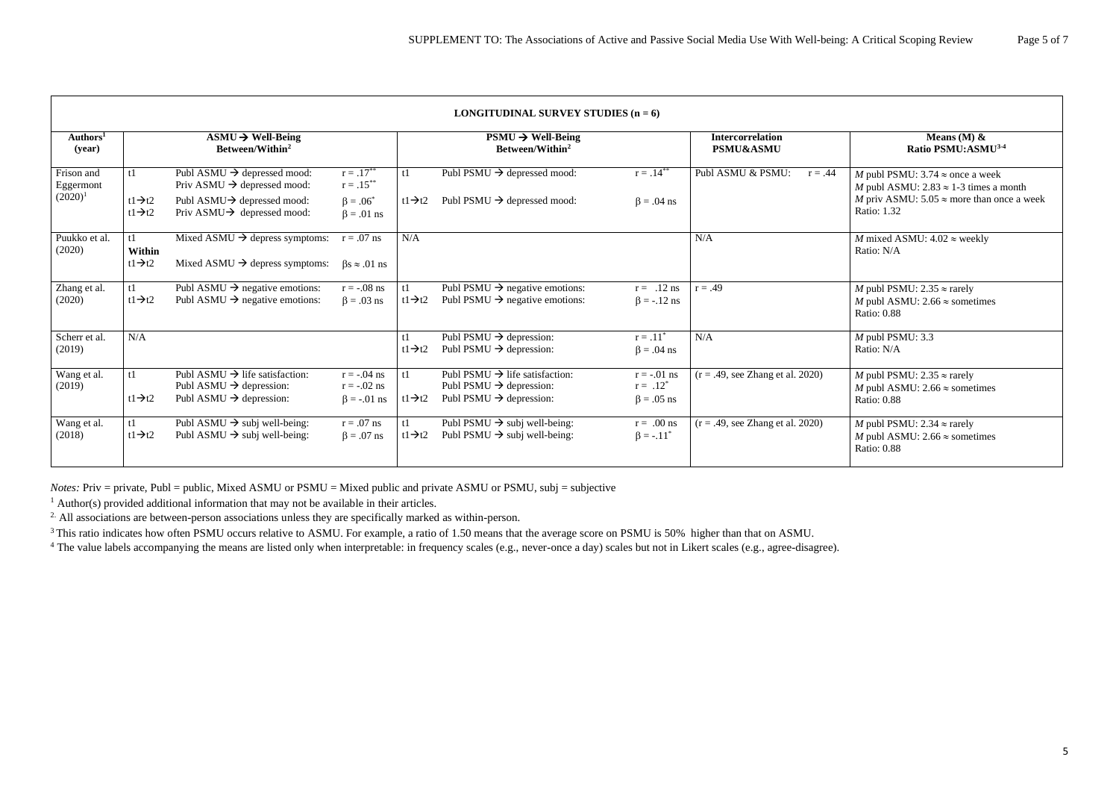| <b>LONGITUDINAL SURVEY STUDIES</b> $(n = 6)$ |                                            |                                                                                                                          |                                                     |                           |                                                                                                                          |                                                  |                                                 |                                                                                                          |
|----------------------------------------------|--------------------------------------------|--------------------------------------------------------------------------------------------------------------------------|-----------------------------------------------------|---------------------------|--------------------------------------------------------------------------------------------------------------------------|--------------------------------------------------|-------------------------------------------------|----------------------------------------------------------------------------------------------------------|
| Authors <sup>1</sup><br>(year)               |                                            | $\text{ASMU} \rightarrow \text{Well-Being}$<br>Between/Within <sup>2</sup>                                               |                                                     |                           | $PSMU \rightarrow Well-Being$<br>Between/Within <sup>2</sup>                                                             |                                                  | <b>Intercorrelation</b><br><b>PSMU&amp;ASMU</b> | Means (M) $\&$<br>Ratio PSMU:ASMU <sup>3-4</sup>                                                         |
| Frison and<br>Eggermont                      | t1                                         | Publ ASMU $\rightarrow$ depressed mood:<br>Priv ASMU $\rightarrow$ depressed mood:                                       | $r = .17***$<br>$r=.15***$                          | t1                        | Publ PSMU $\rightarrow$ depressed mood:                                                                                  | $r = .14***$                                     | Publ ASMU & PSMU:<br>$r = .44$                  | <i>M</i> publ PSMU: 3.74 $\approx$ once a week<br>M publ ASMU: $2.83 \approx 1-3$ times a month          |
| $(2020)^1$                                   | $t1 \rightarrow t2$<br>$t1 \rightarrow t2$ | Publ ASMU $\rightarrow$ depressed mood:<br>Priv ASMU $\rightarrow$ depressed mood:                                       | $\beta = .06^*$<br>$\beta = .01$ ns                 | $t1\rightarrow t2$        | Publ PSMU $\rightarrow$ depressed mood:                                                                                  | $\beta = .04$ ns                                 |                                                 | M priv ASMU: $5.05 \approx$ more than once a week<br>Ratio: 1.32                                         |
| Puukko et al.<br>(2020)                      | t1<br>Within                               | Mixed ASMU $\rightarrow$ depress symptoms:                                                                               | $r = .07$ ns                                        | N/A                       |                                                                                                                          |                                                  | N/A                                             | <i>M</i> mixed ASMU: $4.02 \approx$ weekly<br>Ratio: N/A                                                 |
|                                              | $t1 \rightarrow t2$                        | Mixed ASMU $\rightarrow$ depress symptoms:                                                                               | $\beta s \approx .01$ ns                            |                           |                                                                                                                          |                                                  |                                                 |                                                                                                          |
| Zhang et al.<br>(2020)                       | t1<br>$t1 \rightarrow t2$                  | Publ ASMU $\rightarrow$ negative emotions:<br>Publ ASMU $\rightarrow$ negative emotions:                                 | $r = -.08$ ns<br>$\beta = .03$ ns                   | t1<br>$t1 \rightarrow t2$ | Publ PSMU $\rightarrow$ negative emotions:<br>Publ PSMU $\rightarrow$ negative emotions:                                 | $r = .12$ ns<br>$\beta = -.12$ ns                | $r = .49$                                       | <i>M</i> publ PSMU: $2.35 \approx$ rarely<br>M publ ASMU: $2.66 \approx$ sometimes<br><b>Ratio: 0.88</b> |
| Scherr et al.<br>(2019)                      | N/A                                        |                                                                                                                          |                                                     | t1<br>$t1 \rightarrow t2$ | Publ PSMU $\rightarrow$ depression:<br>Publ PSMU $\rightarrow$ depression:                                               | $r = .11^*$<br>$\beta = .04$ ns                  | N/A                                             | $M$ publ PSMU: 3.3<br>Ratio: N/A                                                                         |
| Wang et al.<br>(2019)                        | t1<br>$t1 \rightarrow t2$                  | Publ ASMU $\rightarrow$ life satisfaction:<br>Publ ASMU $\rightarrow$ depression:<br>Publ ASMU $\rightarrow$ depression: | $r = -.04$ ns<br>$r = -.02$ ns<br>$\beta = -.01$ ns | t1<br>$t1 \rightarrow t2$ | Publ PSMU $\rightarrow$ life satisfaction:<br>Publ PSMU $\rightarrow$ depression:<br>Publ PSMU $\rightarrow$ depression: | $r = -.01$ ns<br>$r = .12^*$<br>$\beta = .05$ ns | $(r = .49, \text{ see Zhang et al. } 2020)$     | <i>M</i> publ PSMU: $2.35 \approx$ rarely<br>M publ ASMU: $2.66 \approx$ sometimes<br><b>Ratio: 0.88</b> |
| Wang et al.<br>(2018)                        | t1<br>$t1 \rightarrow t2$                  | Publ ASMU $\rightarrow$ subj well-being:<br>Publ ASMU $\rightarrow$ subj well-being:                                     | $r = .07$ ns<br>$\beta = .07$ ns                    | t1<br>$t1 \rightarrow t2$ | Publ PSMU $\rightarrow$ subj well-being:<br>Publ PSMU $\rightarrow$ subj well-being:                                     | $r = .00$ ns<br>$\beta = -.11^*$                 | $(r = .49, \text{ see Zhang et al. } 2020)$     | <i>M</i> publ PSMU: $2.34 \approx$ rarely<br>M publ ASMU: $2.66 \approx$ sometimes<br><b>Ratio: 0.88</b> |

*Notes:* Priv = private, Publ = public, Mixed ASMU or PSMU = Mixed public and private ASMU or PSMU, subj = subjective

 $1$  Author(s) provided additional information that may not be available in their articles.

<sup>2</sup>. All associations are between-person associations unless they are specifically marked as within-person.

<sup>3</sup> This ratio indicates how often PSMU occurs relative to ASMU. For example, a ratio of 1.50 means that the average score on PSMU is 50% higher than that on ASMU.

<sup>4</sup> The value labels accompanying the means are listed only when interpretable: in frequency scales (e.g., never-once a day) scales but not in Likert scales (e.g., agree-disagree).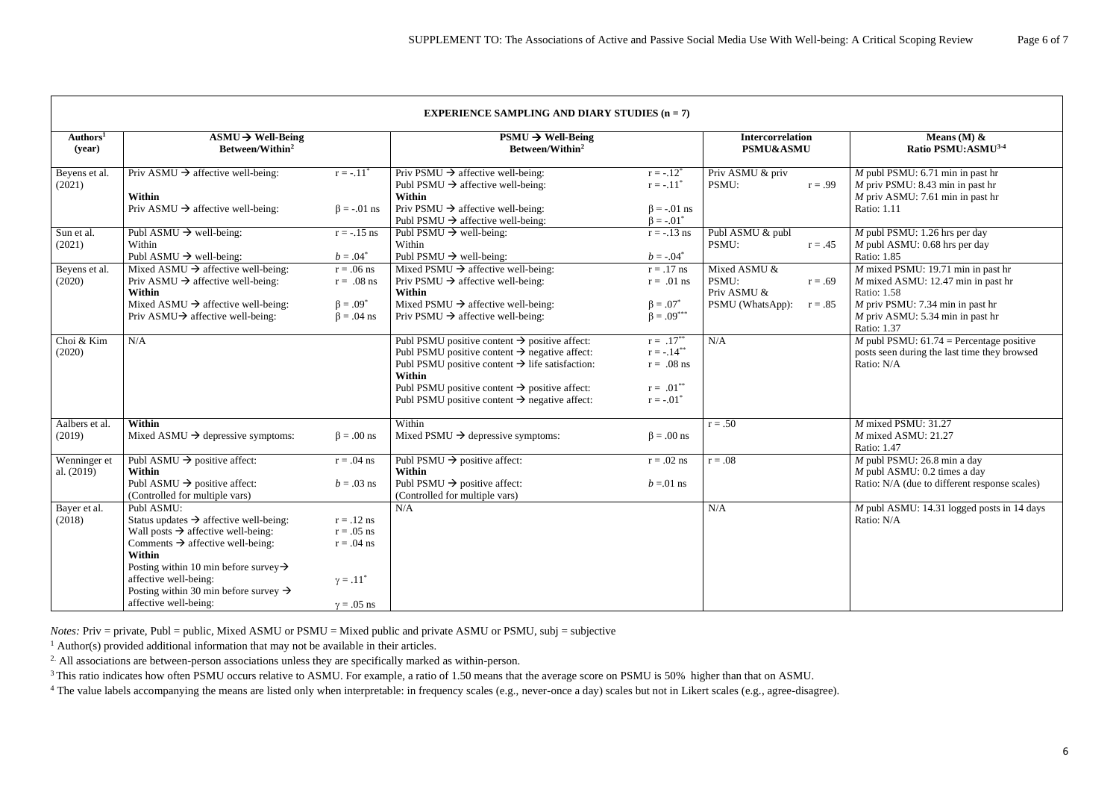| <b>EXPERIENCE SAMPLING AND DIARY STUDIES <math>(n = 7)</math></b> |                                                                                                                                                                                                                                                                                                                                          |                                                                                       |                                                                                                                                                                                                                                                                                                                           |                                                                               |                                                                                    |                                                                                                                                                                                        |
|-------------------------------------------------------------------|------------------------------------------------------------------------------------------------------------------------------------------------------------------------------------------------------------------------------------------------------------------------------------------------------------------------------------------|---------------------------------------------------------------------------------------|---------------------------------------------------------------------------------------------------------------------------------------------------------------------------------------------------------------------------------------------------------------------------------------------------------------------------|-------------------------------------------------------------------------------|------------------------------------------------------------------------------------|----------------------------------------------------------------------------------------------------------------------------------------------------------------------------------------|
| Authors <sup>1</sup><br>(year)                                    | $\text{ASMU} \rightarrow \text{Well-Being}$<br>Between/Within <sup>2</sup>                                                                                                                                                                                                                                                               |                                                                                       | $PSMU \rightarrow Well-Being$<br>Between/Within <sup>2</sup>                                                                                                                                                                                                                                                              |                                                                               | <b>Intercorrelation</b><br><b>PSMU&amp;ASMU</b>                                    | Means (M) $\&$<br>Ratio PSMU:ASMU3-4<br>$M$ publ PSMU: 6.71 min in past hr<br>$M$ priv PSMU: 8.43 min in past hr<br>$M$ priv ASMU: 7.61 min in past hr<br>Ratio: 1.11                  |
| Beyens et al.<br>(2021)                                           | Priv ASMU $\rightarrow$ affective well-being:<br>Within<br>Priv ASMU $\rightarrow$ affective well-being:                                                                                                                                                                                                                                 | $r = -.11^*$<br>$\beta = -.01$ ns                                                     | Priv PSMU $\rightarrow$ affective well-being:<br>Publ PSMU $\rightarrow$ affective well-being:<br>Within<br>Priv PSMU $\rightarrow$ affective well-being:<br>Publ PSMU $\rightarrow$ affective well-being:                                                                                                                | $r = -.12^*$<br>$r = -.11^*$<br>$\beta$ = -.01 ns<br>$\beta = -.01^*$         | Priv ASMU & priv<br>PSMU:<br>$r = .99$                                             |                                                                                                                                                                                        |
| Sun et al.<br>(2021)                                              | Publ ASMU $\rightarrow$ well-being:<br>Within<br>Publ ASMU $\rightarrow$ well-being:                                                                                                                                                                                                                                                     | $r = -.15$ ns<br>$b=.04^*$                                                            | Publ PSMU $\rightarrow$ well-being:<br>Within<br>Publ PSMU $\rightarrow$ well-being:                                                                                                                                                                                                                                      | $r = -.13$ ns<br>$b = -.04^*$                                                 | Publ ASMU & publ<br>PSMU:<br>$r = .45$                                             | $M$ publ PSMU: 1.26 hrs per day<br>$M$ publ ASMU: 0.68 hrs per day<br>Ratio: 1.85                                                                                                      |
| Beyens et al.<br>(2020)                                           | Mixed ASMU $\rightarrow$ affective well-being:<br>Priv ASMU $\rightarrow$ affective well-being:<br>Within<br>Mixed ASMU $\rightarrow$ affective well-being:<br>Priv ASMU $\rightarrow$ affective well-being:                                                                                                                             | $r = .06$ ns<br>$r = .08$ ns<br>$\beta = .09^*$<br>$\beta = .04$ ns                   | Mixed PSMU $\rightarrow$ affective well-being:<br>Priv PSMU $\rightarrow$ affective well-being:<br>Within<br>Mixed PSMU $\rightarrow$ affective well-being:<br>Priv PSMU $\rightarrow$ affective well-being:                                                                                                              | $r = .17$ ns<br>$r = .01$ ns<br>$\beta = .07^*$<br>$\beta = .09^{***}$        | Mixed ASMU &<br>PSMU:<br>$r = .69$<br>Priv ASMU &<br>PSMU (WhatsApp):<br>$r = .85$ | $M$ mixed PSMU: 19.71 min in past hr<br>$M$ mixed ASMU: 12.47 min in past hr<br>Ratio: 1.58<br>$M$ priv PSMU: 7.34 min in past hr<br>$M$ priv ASMU: 5.34 min in past hr<br>Ratio: 1.37 |
| Choi & Kim<br>(2020)                                              | N/A                                                                                                                                                                                                                                                                                                                                      |                                                                                       | Publ PSMU positive content $\rightarrow$ positive affect:<br>Publ PSMU positive content $\rightarrow$ negative affect:<br>Publ PSMU positive content $\rightarrow$ life satisfaction:<br>Within<br>Publ PSMU positive content $\rightarrow$ positive affect:<br>Publ PSMU positive content $\rightarrow$ negative affect: | $r = .17***$<br>$r = -.14***$<br>$r = .08$ ns<br>$r = .01***$<br>$r = -.01^*$ | N/A                                                                                | M publ PSMU: $61.74$ = Percentage positive<br>posts seen during the last time they browsed<br>Ratio: N/A                                                                               |
| Aalbers et al.<br>(2019)                                          | Within<br>Mixed ASMU $\rightarrow$ depressive symptoms:                                                                                                                                                                                                                                                                                  | $\beta = .00$ ns                                                                      | Within<br>Mixed PSMU $\rightarrow$ depressive symptoms:                                                                                                                                                                                                                                                                   | $\beta = .00$ ns                                                              | $r = .50$                                                                          | $M$ mixed PSMU: 31.27<br>$M$ mixed ASMU: 21.27<br>Ratio: 1.47                                                                                                                          |
| Wenninger et<br>al. (2019)                                        | Publ ASMU $\rightarrow$ positive affect:<br>Within<br>Publ ASMU $\rightarrow$ positive affect:<br>(Controlled for multiple vars)                                                                                                                                                                                                         | $r = .04$ ns<br>$b = .03$ ns                                                          | Publ PSMU $\rightarrow$ positive affect:<br>Within<br>Publ PSMU $\rightarrow$ positive affect:<br>(Controlled for multiple vars)                                                                                                                                                                                          | $r = .02$ ns<br>$b = 01$ ns                                                   | $r = .08$                                                                          | $M$ publ PSMU: 26.8 min a day<br>$M$ publ ASMU: 0.2 times a day<br>Ratio: N/A (due to different response scales)                                                                       |
| Bayer et al.<br>(2018)                                            | Publ ASMU:<br>Status updates $\rightarrow$ affective well-being:<br>Wall posts $\rightarrow$ affective well-being:<br>Comments $\rightarrow$ affective well-being:<br>Within<br>Posting within 10 min before survey $\rightarrow$<br>affective well-being:<br>Posting within 30 min before survey $\rightarrow$<br>affective well-being: | $r = .12$ ns<br>$r = .05$ ns<br>$r = .04$ ns<br>$\gamma = .11^*$<br>$\gamma = .05$ ns | N/A                                                                                                                                                                                                                                                                                                                       |                                                                               | N/A                                                                                | $M$ publ ASMU: 14.31 logged posts in 14 days<br>Ratio: N/A                                                                                                                             |

*Notes:* Priv = private, Publ = public, Mixed ASMU or PSMU = Mixed public and private ASMU or PSMU, subj = subjective

 $1$  Author(s) provided additional information that may not be available in their articles.

<sup>2.</sup> All associations are between-person associations unless they are specifically marked as within-person.

<sup>3</sup> This ratio indicates how often PSMU occurs relative to ASMU. For example, a ratio of 1.50 means that the average score on PSMU is 50% higher than that on ASMU.

<sup>4</sup> The value labels accompanying the means are listed only when interpretable: in frequency scales (e.g., never-once a day) scales but not in Likert scales (e.g., agree-disagree).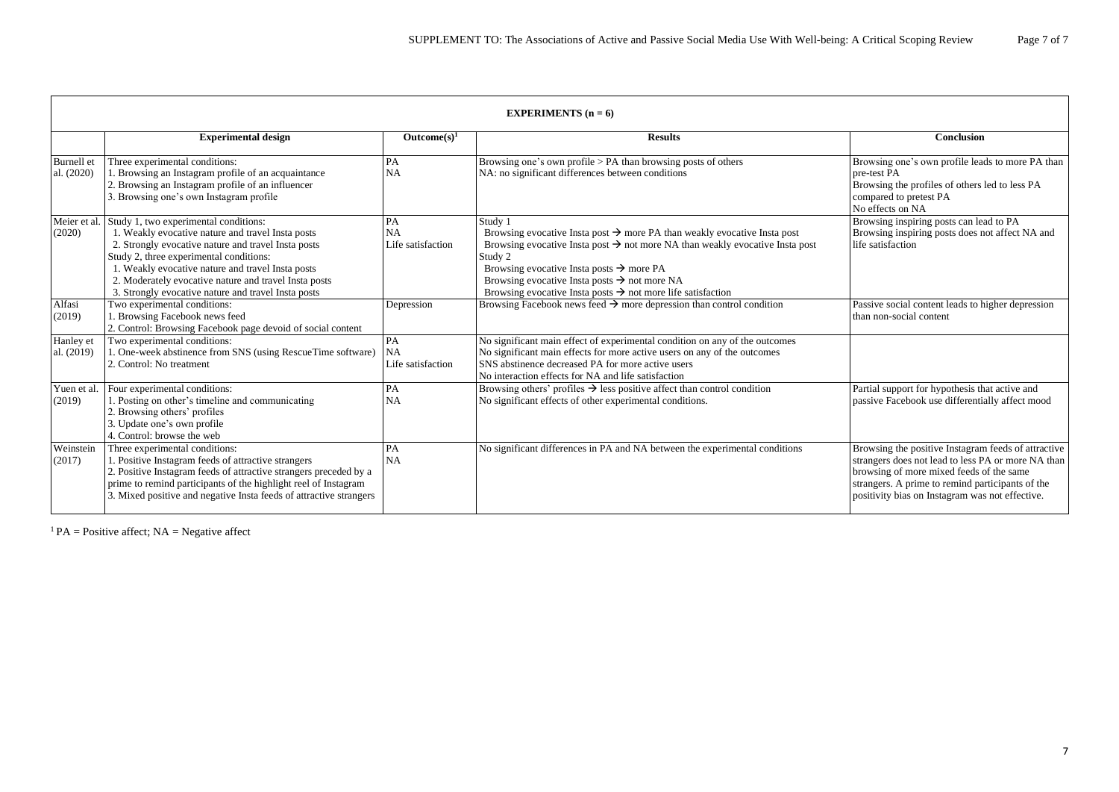|                          | EXPERIMENTS $(n = 6)$                                                                                                                                                                                                                                                                                                                                             |                                      |                                                                                                                                                                                                                                                                                                                                                                                                       |                                                                                                                                                                                                                                                              |  |  |
|--------------------------|-------------------------------------------------------------------------------------------------------------------------------------------------------------------------------------------------------------------------------------------------------------------------------------------------------------------------------------------------------------------|--------------------------------------|-------------------------------------------------------------------------------------------------------------------------------------------------------------------------------------------------------------------------------------------------------------------------------------------------------------------------------------------------------------------------------------------------------|--------------------------------------------------------------------------------------------------------------------------------------------------------------------------------------------------------------------------------------------------------------|--|--|
|                          | <b>Experimental design</b>                                                                                                                                                                                                                                                                                                                                        | Outcome(s) <sup>1</sup>              | <b>Results</b>                                                                                                                                                                                                                                                                                                                                                                                        | <b>Conclusion</b>                                                                                                                                                                                                                                            |  |  |
| Burnell et<br>al. (2020) | Three experimental conditions:<br>. Browsing an Instagram profile of an acquaintance<br>2. Browsing an Instagram profile of an influencer<br>3. Browsing one's own Instagram profile                                                                                                                                                                              | PA<br>NA                             | Browsing one's own profile $> PA$ than browsing posts of others<br>NA: no significant differences between conditions                                                                                                                                                                                                                                                                                  | Browsing one's own profile leads to more PA than<br>pre-test PA<br>Browsing the profiles of others led to less PA<br>compared to pretest PA<br>No effects on NA                                                                                              |  |  |
| Meier et al.<br>(2020)   | Study 1, two experimental conditions:<br>1. Weakly evocative nature and travel Insta posts<br>2. Strongly evocative nature and travel Insta posts<br>Study 2, three experimental conditions:<br>1. Weakly evocative nature and travel Insta posts<br>2. Moderately evocative nature and travel Insta posts<br>3. Strongly evocative nature and travel Insta posts | PA<br>NA<br>Life satisfaction        | Study 1<br>Browsing evocative Insta post $\rightarrow$ more PA than weakly evocative Insta post<br>Browsing evocative Insta post $\rightarrow$ not more NA than weakly evocative Insta post<br>Study 2<br>Browsing evocative Insta posts $\rightarrow$ more PA<br>Browsing evocative Insta posts $\rightarrow$ not more NA<br>Browsing evocative Insta posts $\rightarrow$ not more life satisfaction | Browsing inspiring posts can lead to PA<br>Browsing inspiring posts does not affect NA and<br>life satisfaction                                                                                                                                              |  |  |
| Alfasi<br>(2019)         | Two experimental conditions:<br>1. Browsing Facebook news feed<br>2. Control: Browsing Facebook page devoid of social content                                                                                                                                                                                                                                     | Depression                           | Browsing Facebook news feed $\rightarrow$ more depression than control condition                                                                                                                                                                                                                                                                                                                      | Passive social content leads to higher depression<br>than non-social content                                                                                                                                                                                 |  |  |
| Hanley et<br>al. (2019)  | Two experimental conditions:<br>1. One-week abstinence from SNS (using RescueTime software)<br>2. Control: No treatment                                                                                                                                                                                                                                           | PA<br><b>NA</b><br>Life satisfaction | No significant main effect of experimental condition on any of the outcomes<br>No significant main effects for more active users on any of the outcomes<br>SNS abstinence decreased PA for more active users<br>No interaction effects for NA and life satisfaction                                                                                                                                   |                                                                                                                                                                                                                                                              |  |  |
| Yuen et al.<br>(2019)    | Four experimental conditions:<br>1. Posting on other's timeline and communicating<br>2. Browsing others' profiles<br>3. Update one's own profile<br>4. Control: browse the web                                                                                                                                                                                    | PA<br><b>NA</b>                      | Browsing others' profiles $\rightarrow$ less positive affect than control condition<br>No significant effects of other experimental conditions.                                                                                                                                                                                                                                                       | Partial support for hypothesis that active and<br>passive Facebook use differentially affect mood                                                                                                                                                            |  |  |
| Weinstein<br>(2017)      | Three experimental conditions:<br>1. Positive Instagram feeds of attractive strangers<br>2. Positive Instagram feeds of attractive strangers preceded by a<br>prime to remind participants of the highlight reel of Instagram<br>3. Mixed positive and negative Insta feeds of attractive strangers                                                               | PA<br>NA                             | No significant differences in PA and NA between the experimental conditions                                                                                                                                                                                                                                                                                                                           | Browsing the positive Instagram feeds of attractive<br>strangers does not lead to less PA or more NA than<br>browsing of more mixed feeds of the same<br>strangers. A prime to remind participants of the<br>positivity bias on Instagram was not effective. |  |  |

**EXPERIMENTS**  $(x, \theta)$ 

<sup>1</sup> PA = Positive affect; NA = Negative affect

┑

| <b>Conclusion</b>                                                                                                                                                                                                                                            |
|--------------------------------------------------------------------------------------------------------------------------------------------------------------------------------------------------------------------------------------------------------------|
| Browsing one's own profile leads to more PA than<br>pre-test PA<br>Browsing the profiles of others led to less PA<br>compared to pretest PA<br>No effects on NA                                                                                              |
| Browsing inspiring posts can lead to PA<br>Browsing inspiring posts does not affect NA and<br>life satisfaction                                                                                                                                              |
| Passive social content leads to higher depression<br>than non-social content                                                                                                                                                                                 |
| Partial support for hypothesis that active and<br>passive Facebook use differentially affect mood                                                                                                                                                            |
| Browsing the positive Instagram feeds of attractive<br>strangers does not lead to less PA or more NA than<br>browsing of more mixed feeds of the same<br>strangers. A prime to remind participants of the<br>positivity bias on Instagram was not effective. |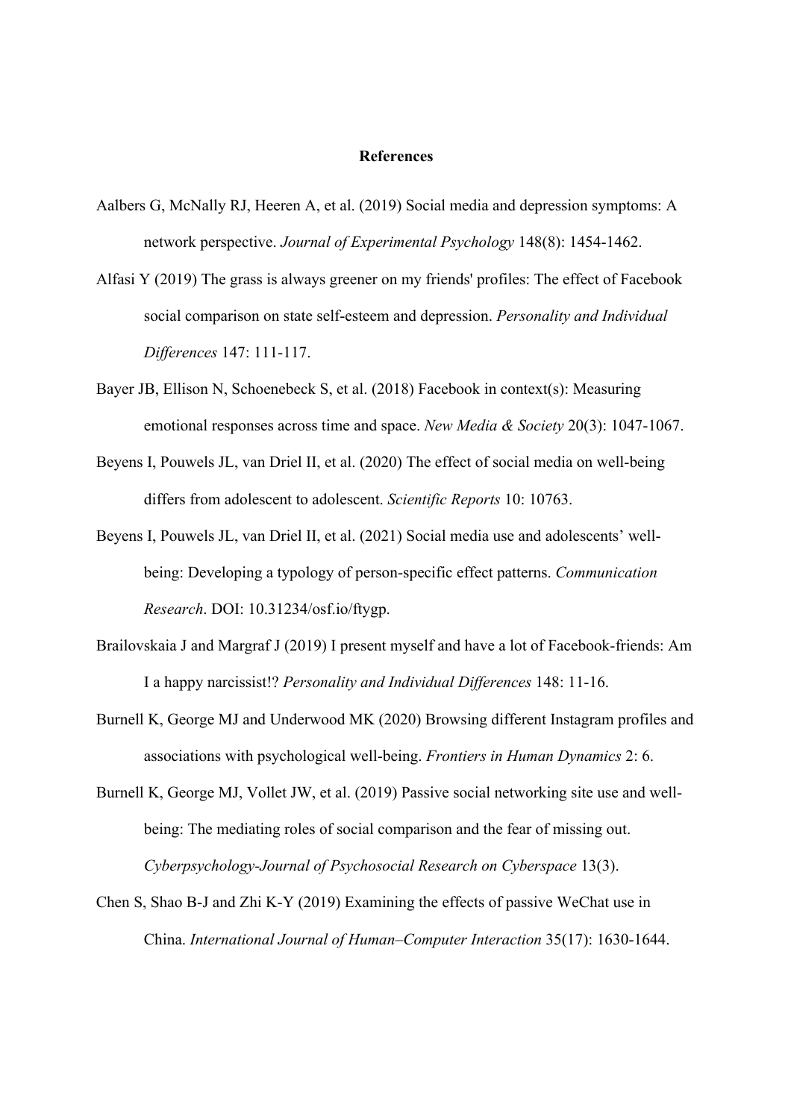### **References**

- Aalbers G, McNally RJ, Heeren A, et al. (2019) Social media and depression symptoms: A network perspective. *Journal of Experimental Psychology* 148(8): 1454-1462.
- Alfasi Y (2019) The grass is always greener on my friends' profiles: The effect of Facebook social comparison on state self-esteem and depression. *Personality and Individual Differences* 147: 111-117.
- Bayer JB, Ellison N, Schoenebeck S, et al. (2018) Facebook in context(s): Measuring emotional responses across time and space. *New Media & Society* 20(3): 1047-1067.
- Beyens I, Pouwels JL, van Driel II, et al. (2020) The effect of social media on well-being differs from adolescent to adolescent. *Scientific Reports* 10: 10763.
- Beyens I, Pouwels JL, van Driel II, et al. (2021) Social media use and adolescents' wellbeing: Developing a typology of person-specific effect patterns. *Communication Research*. DOI: 10.31234/osf.io/ftygp.
- Brailovskaia J and Margraf J (2019) I present myself and have a lot of Facebook-friends: Am I a happy narcissist!? *Personality and Individual Differences* 148: 11-16.
- Burnell K, George MJ and Underwood MK (2020) Browsing different Instagram profiles and associations with psychological well-being. *Frontiers in Human Dynamics* 2: 6.
- Burnell K, George MJ, Vollet JW, et al. (2019) Passive social networking site use and wellbeing: The mediating roles of social comparison and the fear of missing out. *Cyberpsychology-Journal of Psychosocial Research on Cyberspace* 13(3).
- Chen S, Shao B-J and Zhi K-Y (2019) Examining the effects of passive WeChat use in China. *International Journal of Human–Computer Interaction* 35(17): 1630-1644.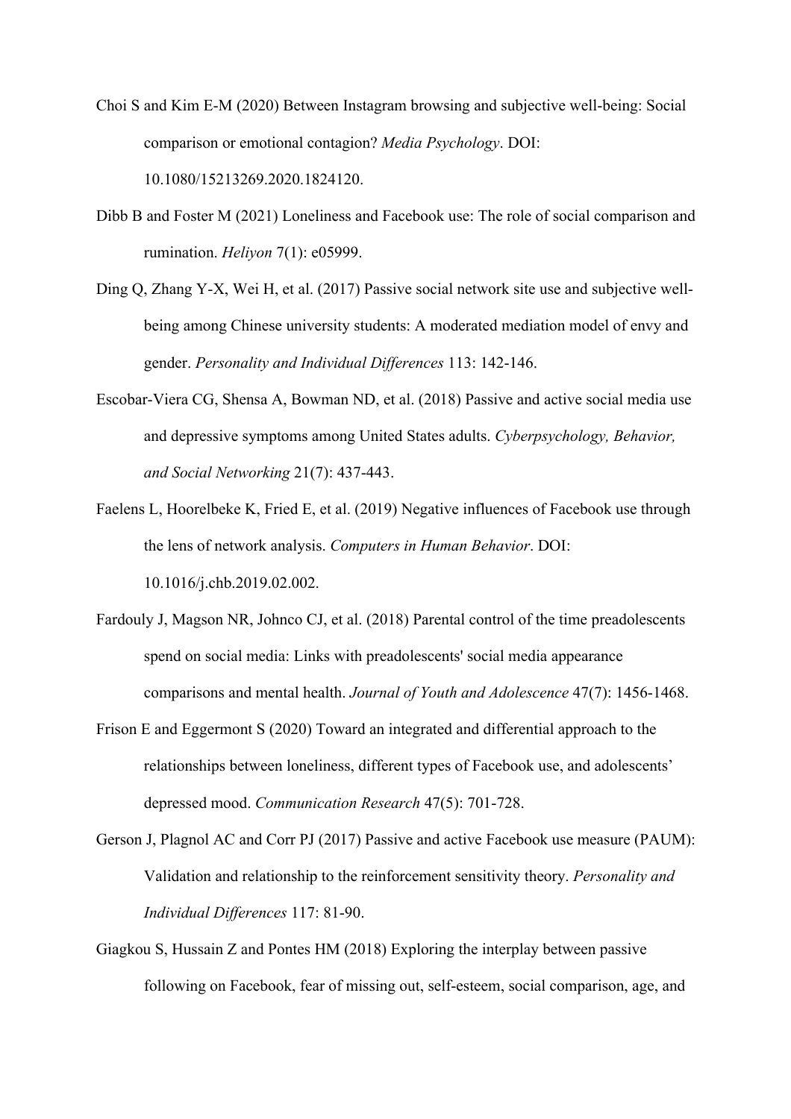- Choi S and Kim E-M (2020) Between Instagram browsing and subjective well-being: Social comparison or emotional contagion? *Media Psychology*. DOI: 10.1080/15213269.2020.1824120.
- Dibb B and Foster M (2021) Loneliness and Facebook use: The role of social comparison and rumination. *Heliyon* 7(1): e05999.
- Ding Q, Zhang Y-X, Wei H, et al. (2017) Passive social network site use and subjective wellbeing among Chinese university students: A moderated mediation model of envy and gender. *Personality and Individual Differences* 113: 142-146.
- Escobar-Viera CG, Shensa A, Bowman ND, et al. (2018) Passive and active social media use and depressive symptoms among United States adults. *Cyberpsychology, Behavior, and Social Networking* 21(7): 437-443.
- Faelens L, Hoorelbeke K, Fried E, et al. (2019) Negative influences of Facebook use through the lens of network analysis. *Computers in Human Behavior*. DOI: 10.1016/j.chb.2019.02.002.
- Fardouly J, Magson NR, Johnco CJ, et al. (2018) Parental control of the time preadolescents spend on social media: Links with preadolescents' social media appearance comparisons and mental health. *Journal of Youth and Adolescence* 47(7): 1456-1468.
- Frison E and Eggermont S (2020) Toward an integrated and differential approach to the relationships between loneliness, different types of Facebook use, and adolescents' depressed mood. *Communication Research* 47(5): 701-728.
- Gerson J, Plagnol AC and Corr PJ (2017) Passive and active Facebook use measure (PAUM): Validation and relationship to the reinforcement sensitivity theory. *Personality and Individual Differences* 117: 81-90.
- Giagkou S, Hussain Z and Pontes HM (2018) Exploring the interplay between passive following on Facebook, fear of missing out, self-esteem, social comparison, age, and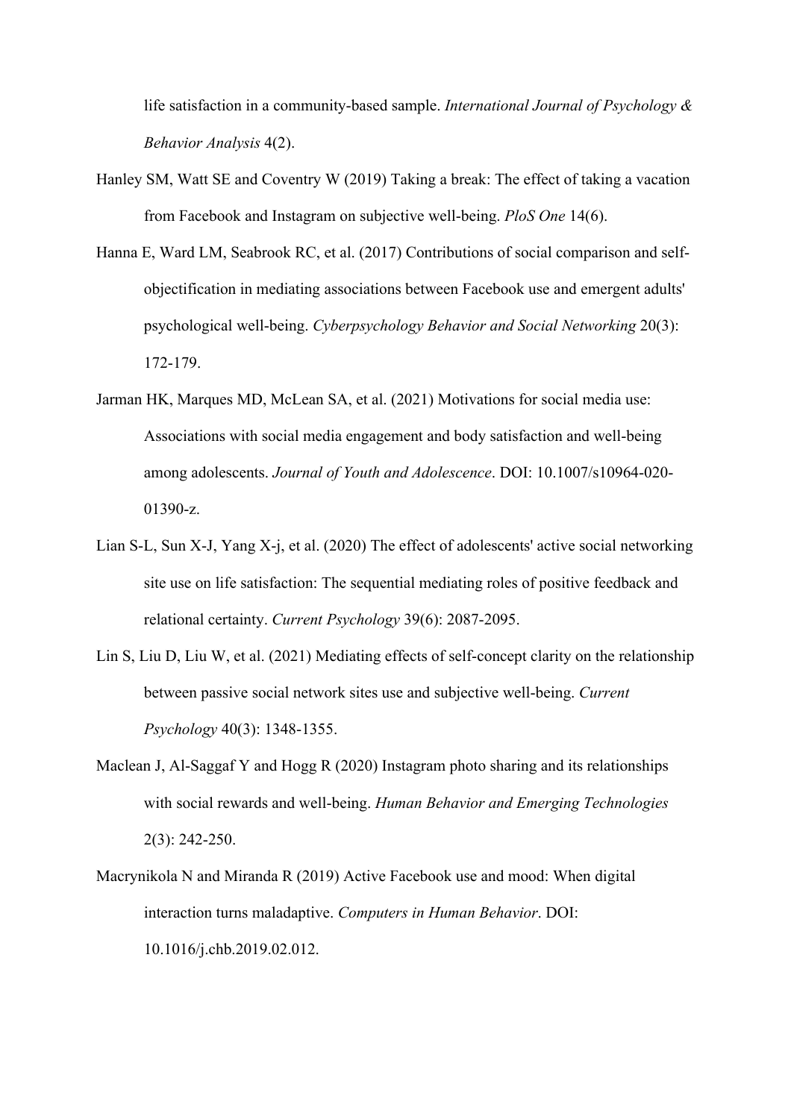life satisfaction in a community-based sample. *International Journal of Psychology & Behavior Analysis* 4(2).

- Hanley SM, Watt SE and Coventry W (2019) Taking a break: The effect of taking a vacation from Facebook and Instagram on subjective well-being. *PloS One* 14(6).
- Hanna E, Ward LM, Seabrook RC, et al. (2017) Contributions of social comparison and selfobjectification in mediating associations between Facebook use and emergent adults' psychological well-being. *Cyberpsychology Behavior and Social Networking* 20(3): 172-179.
- Jarman HK, Marques MD, McLean SA, et al. (2021) Motivations for social media use: Associations with social media engagement and body satisfaction and well-being among adolescents. *Journal of Youth and Adolescence*. DOI: 10.1007/s10964-020- 01390-z.
- Lian S-L, Sun X-J, Yang X-j, et al. (2020) The effect of adolescents' active social networking site use on life satisfaction: The sequential mediating roles of positive feedback and relational certainty. *Current Psychology* 39(6): 2087-2095.
- Lin S, Liu D, Liu W, et al. (2021) Mediating effects of self-concept clarity on the relationship between passive social network sites use and subjective well-being. *Current Psychology* 40(3): 1348-1355.
- Maclean J, Al-Saggaf Y and Hogg R (2020) Instagram photo sharing and its relationships with social rewards and well-being. *Human Behavior and Emerging Technologies* 2(3): 242-250.
- Macrynikola N and Miranda R (2019) Active Facebook use and mood: When digital interaction turns maladaptive. *Computers in Human Behavior*. DOI: 10.1016/j.chb.2019.02.012.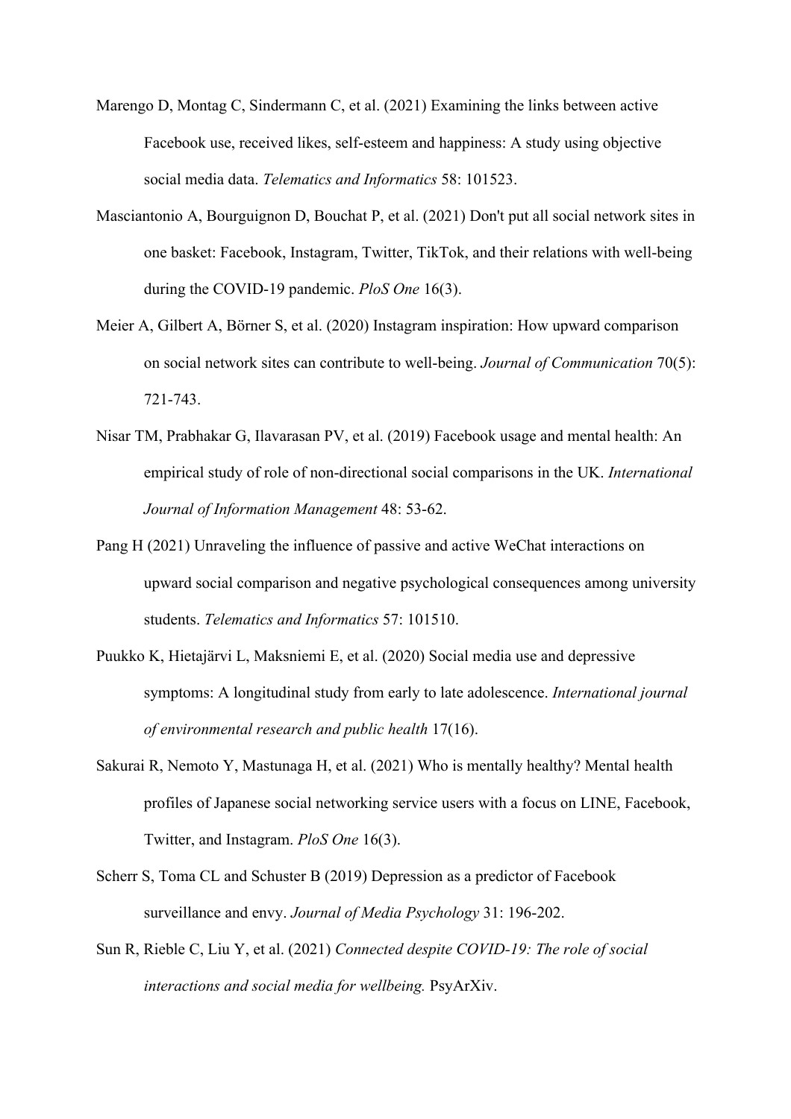- Marengo D, Montag C, Sindermann C, et al. (2021) Examining the links between active Facebook use, received likes, self-esteem and happiness: A study using objective social media data. *Telematics and Informatics* 58: 101523.
- Masciantonio A, Bourguignon D, Bouchat P, et al. (2021) Don't put all social network sites in one basket: Facebook, Instagram, Twitter, TikTok, and their relations with well-being during the COVID-19 pandemic. *PloS One* 16(3).
- Meier A, Gilbert A, Börner S, et al. (2020) Instagram inspiration: How upward comparison on social network sites can contribute to well-being. *Journal of Communication* 70(5): 721-743.
- Nisar TM, Prabhakar G, Ilavarasan PV, et al. (2019) Facebook usage and mental health: An empirical study of role of non-directional social comparisons in the UK. *International Journal of Information Management* 48: 53-62.
- Pang H (2021) Unraveling the influence of passive and active WeChat interactions on upward social comparison and negative psychological consequences among university students. *Telematics and Informatics* 57: 101510.
- Puukko K, Hietajärvi L, Maksniemi E, et al. (2020) Social media use and depressive symptoms: A longitudinal study from early to late adolescence. *International journal of environmental research and public health* 17(16).
- Sakurai R, Nemoto Y, Mastunaga H, et al. (2021) Who is mentally healthy? Mental health profiles of Japanese social networking service users with a focus on LINE, Facebook, Twitter, and Instagram. *PloS One* 16(3).
- Scherr S, Toma CL and Schuster B (2019) Depression as a predictor of Facebook surveillance and envy. *Journal of Media Psychology* 31: 196-202.
- Sun R, Rieble C, Liu Y, et al. (2021) *Connected despite COVID-19: The role of social interactions and social media for wellbeing.* PsyArXiv.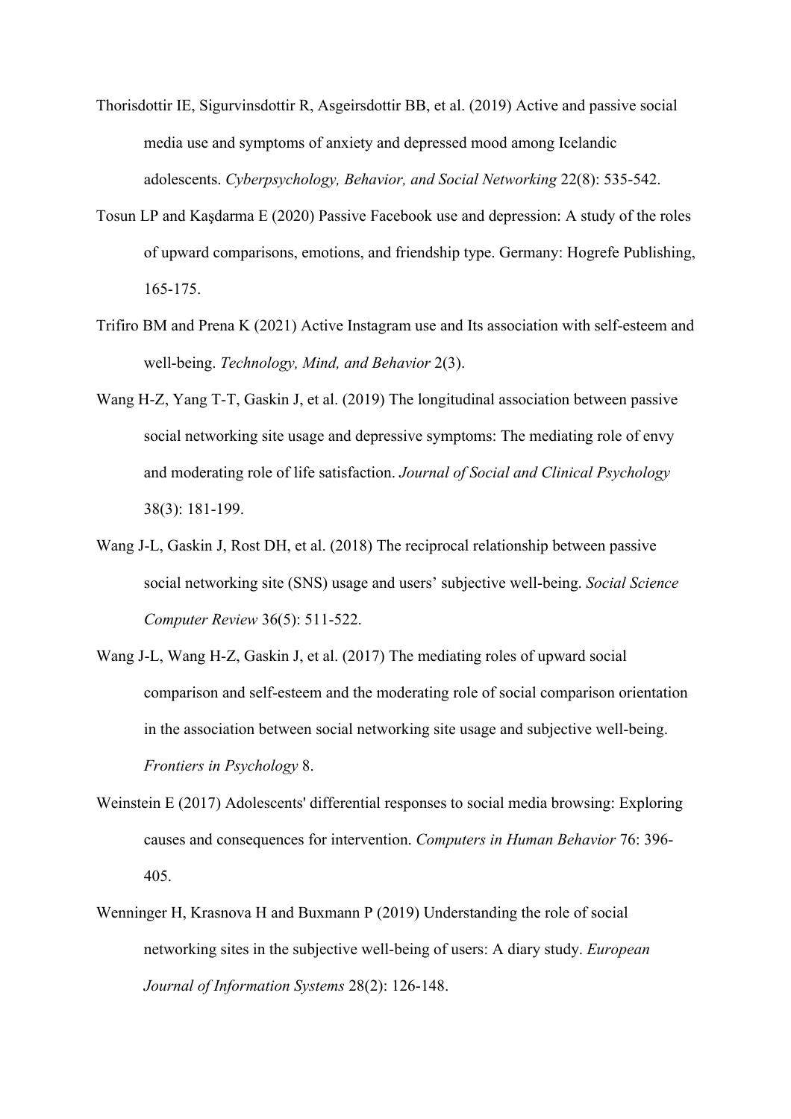- Thorisdottir IE, Sigurvinsdottir R, Asgeirsdottir BB, et al. (2019) Active and passive social media use and symptoms of anxiety and depressed mood among Icelandic adolescents. *Cyberpsychology, Behavior, and Social Networking* 22(8): 535-542.
- Tosun LP and Kaşdarma E (2020) Passive Facebook use and depression: A study of the roles of upward comparisons, emotions, and friendship type. Germany: Hogrefe Publishing, 165-175.
- Trifiro BM and Prena K (2021) Active Instagram use and Its association with self-esteem and well-being. *Technology, Mind, and Behavior* 2(3).
- Wang H-Z, Yang T-T, Gaskin J, et al. (2019) The longitudinal association between passive social networking site usage and depressive symptoms: The mediating role of envy and moderating role of life satisfaction. *Journal of Social and Clinical Psychology* 38(3): 181-199.
- Wang J-L, Gaskin J, Rost DH, et al. (2018) The reciprocal relationship between passive social networking site (SNS) usage and users' subjective well-being. *Social Science Computer Review* 36(5): 511-522.
- Wang J-L, Wang H-Z, Gaskin J, et al. (2017) The mediating roles of upward social comparison and self-esteem and the moderating role of social comparison orientation in the association between social networking site usage and subjective well-being. *Frontiers in Psychology* 8.
- Weinstein E (2017) Adolescents' differential responses to social media browsing: Exploring causes and consequences for intervention. *Computers in Human Behavior* 76: 396- 405.
- Wenninger H, Krasnova H and Buxmann P (2019) Understanding the role of social networking sites in the subjective well-being of users: A diary study. *European Journal of Information Systems* 28(2): 126-148.